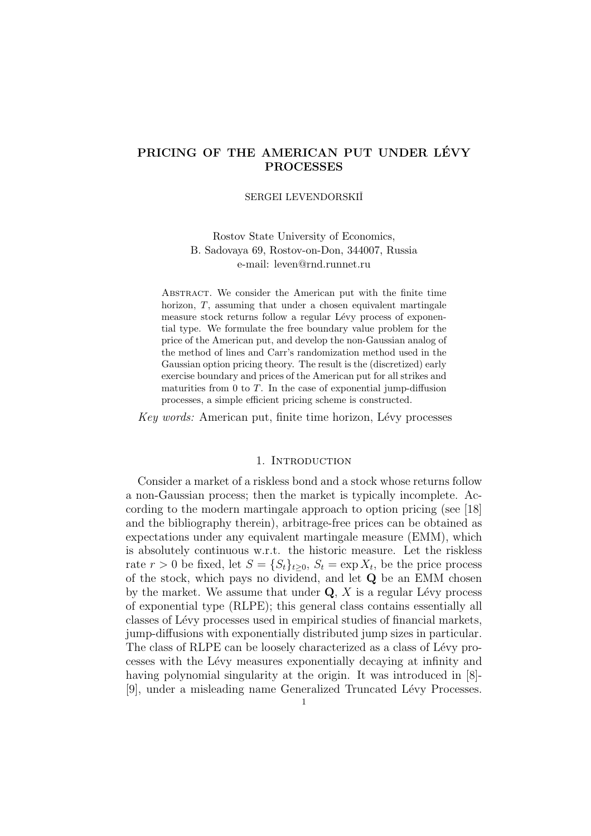# **PRICING OF THE AMERICAN PUT UNDER LEVY ´ PROCESSES**

#### SERGEI LEVENDORSKIIT

## Rostov State University of Economics, B. Sadovaya 69, Rostov-on-Don, 344007, Russia e-mail: leven@rnd.runnet.ru

Abstract. We consider the American put with the finite time horizon,  $T$ , assuming that under a chosen equivalent martingale measure stock returns follow a regular Lévy process of exponential type. We formulate the free boundary value problem for the price of the American put, and develop the non-Gaussian analog of the method of lines and Carr's randomization method used in the Gaussian option pricing theory. The result is the (discretized) early exercise boundary and prices of the American put for all strikes and maturities from  $0$  to  $T$ . In the case of exponential jump-diffusion processes, a simple efficient pricing scheme is constructed.

Key words: American put, finite time horizon, Lévy processes

### 1. INTRODUCTION

Consider a market of a riskless bond and a stock whose returns follow a non-Gaussian process; then the market is typically incomplete. According to the modern martingale approach to option pricing (see [18] and the bibliography therein), arbitrage-free prices can be obtained as expectations under any equivalent martingale measure (EMM), which is absolutely continuous w.r.t. the historic measure. Let the riskless rate  $r > 0$  be fixed, let  $S = \{S_t\}_{t>0}, S_t = \exp X_t$ , be the price process of the stock, which pays no dividend, and let **Q** be an EMM chosen by the market. We assume that under  $Q$ , X is a regular Lévy process of exponential type (RLPE); this general class contains essentially all classes of Lévy processes used in empirical studies of financial markets, jump-diffusions with exponentially distributed jump sizes in particular. The class of RLPE can be loosely characterized as a class of Lévy processes with the Lévy measures exponentially decaying at infinity and having polynomial singularity at the origin. It was introduced in [8]-[9], under a misleading name Generalized Truncated Lévy Processes.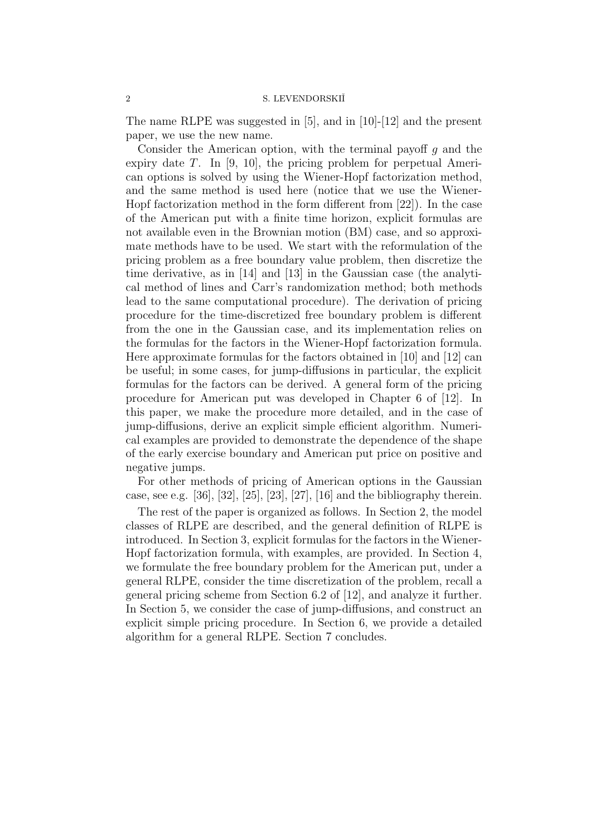The name RLPE was suggested in [5], and in [10]-[12] and the present paper, we use the new name.

Consider the American option, with the terminal payoff  $q$  and the expiry date T. In [9, 10], the pricing problem for perpetual American options is solved by using the Wiener-Hopf factorization method, and the same method is used here (notice that we use the Wiener-Hopf factorization method in the form different from [22]). In the case of the American put with a finite time horizon, explicit formulas are not available even in the Brownian motion (BM) case, and so approximate methods have to be used. We start with the reformulation of the pricing problem as a free boundary value problem, then discretize the time derivative, as in [14] and [13] in the Gaussian case (the analytical method of lines and Carr's randomization method; both methods lead to the same computational procedure). The derivation of pricing procedure for the time-discretized free boundary problem is different from the one in the Gaussian case, and its implementation relies on the formulas for the factors in the Wiener-Hopf factorization formula. Here approximate formulas for the factors obtained in [10] and [12] can be useful; in some cases, for jump-diffusions in particular, the explicit formulas for the factors can be derived. A general form of the pricing procedure for American put was developed in Chapter 6 of [12]. In this paper, we make the procedure more detailed, and in the case of jump-diffusions, derive an explicit simple efficient algorithm. Numerical examples are provided to demonstrate the dependence of the shape of the early exercise boundary and American put price on positive and negative jumps.

For other methods of pricing of American options in the Gaussian case, see e.g.  $[36]$ ,  $[32]$ ,  $[25]$ ,  $[23]$ ,  $[27]$ ,  $[16]$  and the bibliography therein.

The rest of the paper is organized as follows. In Section 2, the model classes of RLPE are described, and the general definition of RLPE is introduced. In Section 3, explicit formulas for the factors in the Wiener-Hopf factorization formula, with examples, are provided. In Section 4, we formulate the free boundary problem for the American put, under a general RLPE, consider the time discretization of the problem, recall a general pricing scheme from Section 6.2 of [12], and analyze it further. In Section 5, we consider the case of jump-diffusions, and construct an explicit simple pricing procedure. In Section 6, we provide a detailed algorithm for a general RLPE. Section 7 concludes.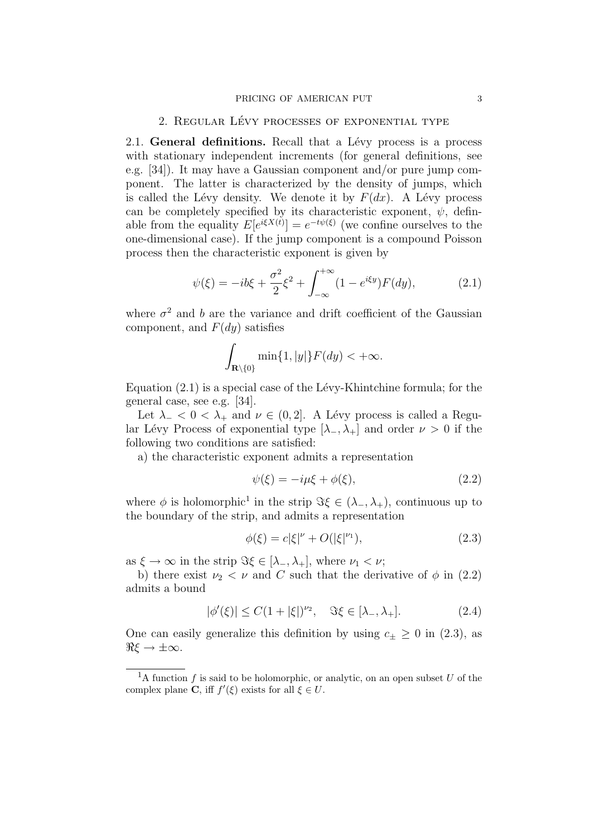#### PRICING OF AMERICAN PUT 3

#### 2. REGULAR LÉVY PROCESSES OF EXPONENTIAL TYPE

2.1. **General definitions.** Recall that a Lévy process is a process with stationary independent increments (for general definitions, see e.g. [34]). It may have a Gaussian component and/or pure jump component. The latter is characterized by the density of jumps, which is called the Lévy density. We denote it by  $F(dx)$ . A Lévy process can be completely specified by its characteristic exponent,  $\psi$ , definable from the equality  $E[e^{i\xi X(t)}] = e^{-t\psi(\xi)}$  (we confine ourselves to the one-dimensional case). If the jump component is a compound Poisson process then the characteristic exponent is given by

$$
\psi(\xi) = -ib\xi + \frac{\sigma^2}{2}\xi^2 + \int_{-\infty}^{+\infty} (1 - e^{i\xi y}) F(dy), \tag{2.1}
$$

where  $\sigma^2$  and b are the variance and drift coefficient of the Gaussian component, and  $F(dy)$  satisfies

$$
\int_{\mathbf{R}\setminus\{0\}}\min\{1,|y|\}F(dy)<+\infty.
$$

Equation  $(2.1)$  is a special case of the Lévy-Khintchine formula; for the general case, see e.g. [34].

Let  $\lambda_-\langle 0 \rangle \langle \lambda_+$  and  $\nu \in (0, 2]$ . A Lévy process is called a Regular Lévy Process of exponential type  $[\lambda_-, \lambda_+]$  and order  $\nu > 0$  if the following two conditions are satisfied:

a) the characteristic exponent admits a representation

$$
\psi(\xi) = -i\mu\xi + \phi(\xi),\tag{2.2}
$$

where  $\phi$  is holomorphic<sup>1</sup> in the strip  $\Im \xi \in (\lambda_-, \lambda_+)$ , continuous up to the boundary of the strip, and admits a representation

$$
\phi(\xi) = c|\xi|^\nu + O(|\xi|^{v_1}),\tag{2.3}
$$

as  $\xi \to \infty$  in the strip  $\Im \xi \in [\lambda_-, \lambda_+]$ , where  $\nu_1 < \nu$ ;

b) there exist  $\nu_2 < \nu$  and C such that the derivative of  $\phi$  in (2.2) admits a bound

$$
|\phi'(\xi)| \le C(1+|\xi|)^{\nu_2}, \quad \Im \xi \in [\lambda_-, \lambda_+]. \tag{2.4}
$$

One can easily generalize this definition by using  $c_{\pm} \geq 0$  in (2.3), as  $\Re \xi \to \pm \infty$ .

<sup>&</sup>lt;sup>1</sup>A function f is said to be holomorphic, or analytic, on an open subset U of the complex plane **C**, iff  $f'(\xi)$  exists for all  $\xi \in U$ .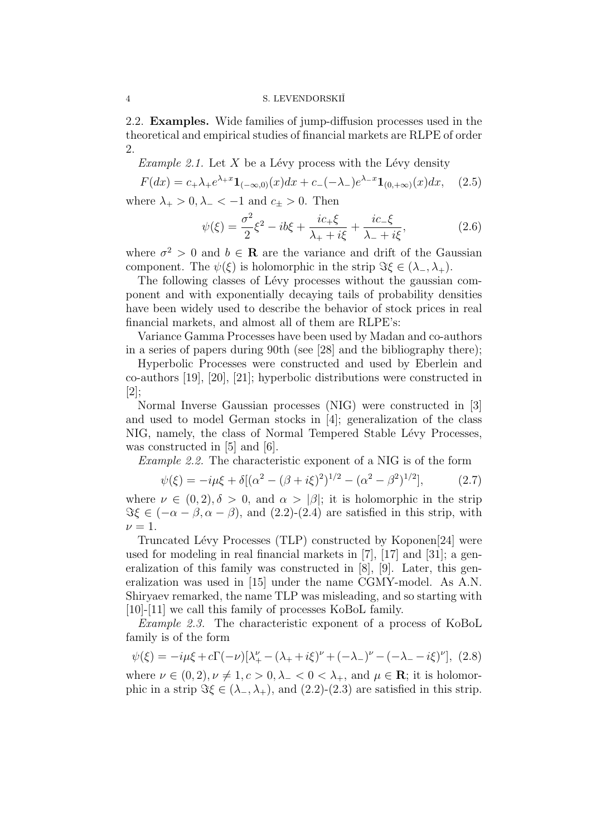2.2. **Examples.** Wide families of jump-diffusion processes used in the theoretical and empirical studies of financial markets are RLPE of order 2.

*Example 2.1.* Let X be a Lévy process with the Lévy density

$$
F(dx) = c_+\lambda_+e^{\lambda_+x}\mathbf{1}_{(-\infty,0)}(x)dx + c_-(-\lambda_-)e^{\lambda_-x}\mathbf{1}_{(0,+\infty)}(x)dx, \quad (2.5)
$$

where  $\lambda_+ > 0$ ,  $\lambda_- < -1$  and  $c_{\pm} > 0$ . Then

$$
\psi(\xi) = \frac{\sigma^2}{2}\xi^2 - ib\xi + \frac{ic_+\xi}{\lambda_+ + i\xi} + \frac{ic_-\xi}{\lambda_- + i\xi},
$$
\n(2.6)

where  $\sigma^2 > 0$  and  $b \in \mathbf{R}$  are the variance and drift of the Gaussian component. The  $\psi(\xi)$  is holomorphic in the strip  $\Im \xi \in (\lambda_-, \lambda_+).$ 

The following classes of Lévy processes without the gaussian component and with exponentially decaying tails of probability densities have been widely used to describe the behavior of stock prices in real financial markets, and almost all of them are RLPE's:

Variance Gamma Processes have been used by Madan and co-authors in a series of papers during 90th (see [28] and the bibliography there);

Hyperbolic Processes were constructed and used by Eberlein and co-authors [19], [20], [21]; hyperbolic distributions were constructed in  $|2|$ ;

Normal Inverse Gaussian processes (NIG) were constructed in [3] and used to model German stocks in [4]; generalization of the class NIG, namely, the class of Normal Tempered Stable Lévy Processes, was constructed in [5] and [6].

Example 2.2. The characteristic exponent of a NIG is of the form

$$
\psi(\xi) = -i\mu\xi + \delta[(\alpha^2 - (\beta + i\xi)^2)^{1/2} - (\alpha^2 - \beta^2)^{1/2}], \tag{2.7}
$$

where  $\nu \in (0, 2), \delta > 0$ , and  $\alpha > |\beta|$ ; it is holomorphic in the strip  $\Im \xi \in (-\alpha - \beta, \alpha - \beta)$ , and (2.2)-(2.4) are satisfied in this strip, with  $\nu = 1$ .

Truncated Lévy Processes (TLP) constructed by Koponen[24] were used for modeling in real financial markets in [7], [17] and [31]; a generalization of this family was constructed in [8], [9]. Later, this generalization was used in [15] under the name CGMY-model. As A.N. Shiryaev remarked, the name TLP was misleading, and so starting with [10]-[11] we call this family of processes KoBoL family.

Example 2.3. The characteristic exponent of a process of KoBoL family is of the form

$$
\psi(\xi) = -i\mu\xi + c\Gamma(-\nu)[\lambda^{\nu}_{+} - (\lambda_{+} + i\xi)^{\nu} + (-\lambda_{-})^{\nu} - (-\lambda_{-} - i\xi)^{\nu}], \tag{2.8}
$$

where  $\nu \in (0, 2), \nu \neq 1, c > 0, \lambda_- < 0 < \lambda_+$ , and  $\mu \in \mathbb{R}$ ; it is holomorphic in a strip  $\Im \xi \in (\lambda_-, \lambda_+)$ , and  $(2.2)-(2.3)$  are satisfied in this strip.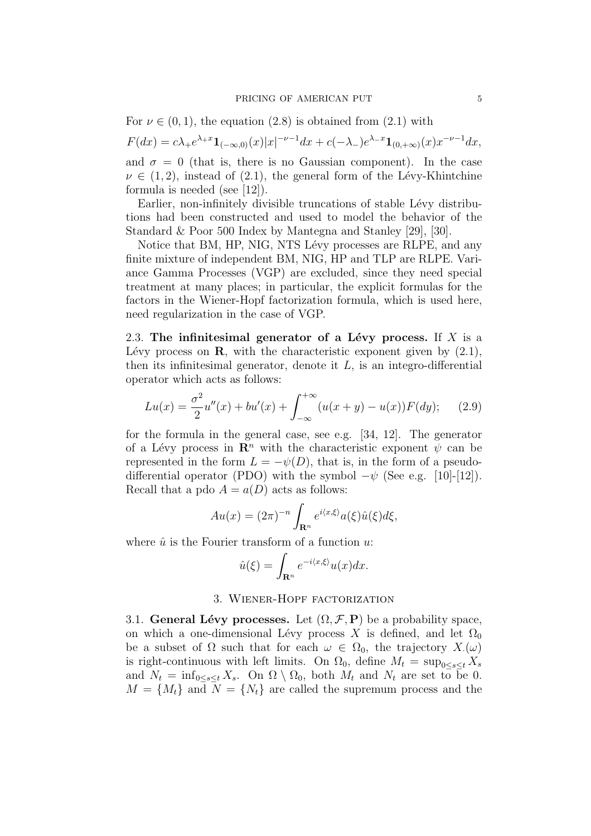For  $\nu \in (0,1)$ , the equation  $(2.8)$  is obtained from  $(2.1)$  with

$$
F(dx) = c\lambda_+ e^{\lambda_+ x} \mathbf{1}_{(-\infty,0)}(x) |x|^{-\nu - 1} dx + c(-\lambda_-) e^{\lambda_- x} \mathbf{1}_{(0,+\infty)}(x) x^{-\nu - 1} dx,
$$
  
and  $\sigma = 0$  (that is, there is no Gaussian component). In the case

 $\nu \in (1, 2)$ , instead of  $(2.1)$ , the general form of the Lévy-Khintchine formula is needed (see [12]).

Earlier, non-infinitely divisible truncations of stable Lévy distributions had been constructed and used to model the behavior of the Standard & Poor 500 Index by Mantegna and Stanley [29], [30].

Notice that BM, HP, NIG, NTS Lévy processes are RLPE, and any finite mixture of independent BM, NIG, HP and TLP are RLPE. Variance Gamma Processes (VGP) are excluded, since they need special treatment at many places; in particular, the explicit formulas for the factors in the Wiener-Hopf factorization formula, which is used here, need regularization in the case of VGP.

2.3. The infinitesimal generator of a Lévy process. If  $X$  is a Lévy process on **R**, with the characteristic exponent given by  $(2.1)$ , then its infinitesimal generator, denote it  $L$ , is an integro-differential operator which acts as follows:

$$
Lu(x) = \frac{\sigma^2}{2}u''(x) + bu'(x) + \int_{-\infty}^{+\infty} (u(x+y) - u(x))F(dy); \quad (2.9)
$$

for the formula in the general case, see e.g. [34, 12]. The generator of a Lévy process in  $\mathbb{R}^n$  with the characteristic exponent  $\psi$  can be represented in the form  $L = -\psi(D)$ , that is, in the form of a pseudodifferential operator (PDO) with the symbol  $-\psi$  (See e.g. [10]-[12]). Recall that a pdo  $A = a(D)$  acts as follows:

$$
Au(x) = (2\pi)^{-n} \int_{\mathbf{R}^n} e^{i\langle x,\xi\rangle} a(\xi) \hat{u}(\xi) d\xi,
$$

where  $\hat{u}$  is the Fourier transform of a function u:

$$
\hat{u}(\xi) = \int_{\mathbf{R}^n} e^{-i\langle x,\xi\rangle} u(x) dx.
$$

#### 3. Wiener-Hopf factorization

3.1. **General Lévy processes.** Let  $(\Omega, \mathcal{F}, P)$  be a probability space, on which a one-dimensional Lévy process X is defined, and let  $\Omega_0$ be a subset of  $\Omega$  such that for each  $\omega \in \Omega_0$ , the trajectory  $X(\omega)$ is right-continuous with left limits. On  $\Omega_0$ , define  $M_t = \sup_{0 \le s \le t} X_s$ and  $N_t = \inf_{0 \le s \le t} X_s$ . On  $\Omega \setminus \Omega_0$ , both  $M_t$  and  $N_t$  are set to be 0.  $M = \{M_t\}$  and  $N = \{N_t\}$  are called the supremum process and the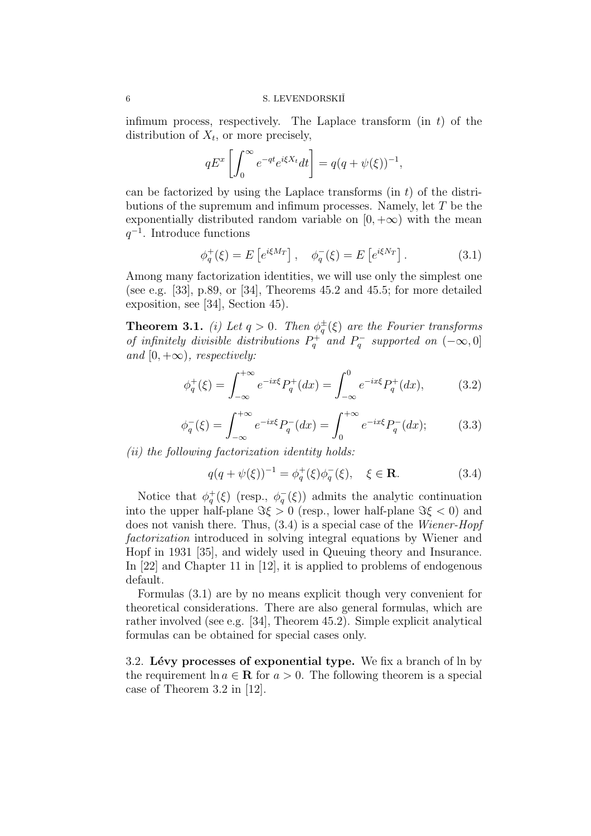infimum process, respectively. The Laplace transform  $(in t)$  of the distribution of  $X_t$ , or more precisely,

$$
qE^x \left[ \int_0^\infty e^{-qt} e^{i\xi X_t} dt \right] = q(q + \psi(\xi))^{-1},
$$

can be factorized by using the Laplace transforms (in  $t$ ) of the distributions of the supremum and infimum processes. Namely, let T be the exponentially distributed random variable on  $[0, +\infty)$  with the mean  $q^{-1}$ . Introduce functions

$$
\phi_q^+(\xi) = E\left[e^{i\xi M_T}\right], \quad \phi_q^-(\xi) = E\left[e^{i\xi N_T}\right]. \tag{3.1}
$$

Among many factorization identities, we will use only the simplest one (see e.g. [33], p.89, or [34], Theorems 45.2 and 45.5; for more detailed exposition, see [34], Section 45).

**Theorem 3.1.** (i) Let  $q > 0$ . Then  $\phi_q^{\pm}(\xi)$  are the Fourier transforms of infinitely divisible distributions  $P_q^+$  and  $P_q^-$  supported on  $(-\infty, 0]$ and  $[0, +\infty)$ , respectively:

$$
\phi_q^+(\xi) = \int_{-\infty}^{+\infty} e^{-ix\xi} P_q^+(dx) = \int_{-\infty}^0 e^{-ix\xi} P_q^+(dx), \tag{3.2}
$$

$$
\phi_q^-(\xi) = \int_{-\infty}^{+\infty} e^{-ix\xi} P_q^-(dx) = \int_0^{+\infty} e^{-ix\xi} P_q^-(dx); \tag{3.3}
$$

(ii) the following factorization identity holds:

$$
q(q + \psi(\xi))^{-1} = \phi_q^+(\xi)\phi_q^-(\xi), \quad \xi \in \mathbf{R}.\tag{3.4}
$$

Notice that  $\phi_q^+(\xi)$  (resp.,  $\phi_q^-(\xi)$ ) admits the analytic continuation into the upper half-plane  $\Im \xi > 0$  (resp., lower half-plane  $\Im \xi < 0$ ) and does not vanish there. Thus, (3.4) is a special case of the Wiener-Hopf factorization introduced in solving integral equations by Wiener and Hopf in 1931 [35], and widely used in Queuing theory and Insurance. In [22] and Chapter 11 in [12], it is applied to problems of endogenous default.

Formulas (3.1) are by no means explicit though very convenient for theoretical considerations. There are also general formulas, which are rather involved (see e.g. [34], Theorem 45.2). Simple explicit analytical formulas can be obtained for special cases only.

3.2. **L´evy processes of exponential type.** We fix a branch of ln by the requirement  $\ln a \in \mathbb{R}$  for  $a > 0$ . The following theorem is a special case of Theorem 3.2 in [12].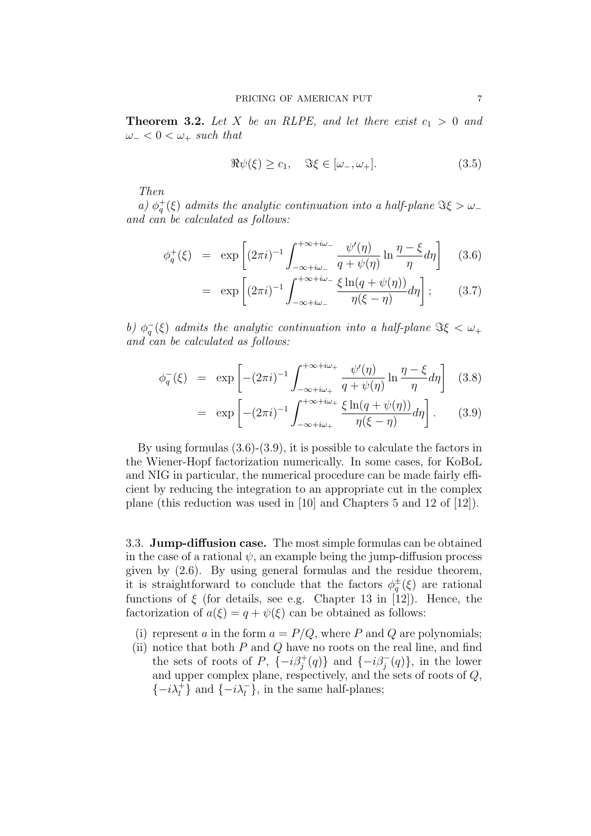**Theorem 3.2.** Let X be an RLPE, and let there exist  $c_1 > 0$  and  $\omega_- < 0 < \omega_+$  such that

$$
\Re\psi(\xi) \ge c_1, \quad \Im\xi \in [\omega_-, \omega_+]. \tag{3.5}
$$

Then

a)  $\phi_q^+(\xi)$  admits the analytic continuation into a half-plane  $\Im \xi > \omega_$ and can be calculated as follows:

$$
\phi_q^+(\xi) = \exp\left[ (2\pi i)^{-1} \int_{-\infty + i\omega_-}^{+\infty + i\omega_-} \frac{\psi'(\eta)}{q + \psi(\eta)} \ln \frac{\eta - \xi}{\eta} d\eta \right] \quad (3.6)
$$

$$
= \exp\left[ (2\pi i)^{-1} \int_{-\infty+i\omega_-}^{+\infty+i\omega_-} \frac{\xi \ln(q+\psi(\eta))}{\eta(\xi-\eta)} d\eta \right]; \qquad (3.7)
$$

b)  $\phi_q^-(\xi)$  admits the analytic continuation into a half-plane  $\Im \xi < \omega_+$ and can be calculated as follows:

$$
\phi_q^-(\xi) = \exp\left[ -(2\pi i)^{-1} \int_{-\infty + i\omega_+}^{+\infty + i\omega_+} \frac{\psi'(\eta)}{q + \psi(\eta)} \ln \frac{\eta - \xi}{\eta} d\eta \right] (3.8)
$$

$$
= \exp\left[-(2\pi i)^{-1}\int_{-\infty+i\omega_+}^{+\infty+i\omega_+}\frac{\xi\ln(q+\psi(\eta))}{\eta(\xi-\eta)}d\eta\right].
$$
 (3.9)

By using formulas (3.6)-(3.9), it is possible to calculate the factors in the Wiener-Hopf factorization numerically. In some cases, for KoBoL and NIG in particular, the numerical procedure can be made fairly efficient by reducing the integration to an appropriate cut in the complex plane (this reduction was used in [10] and Chapters 5 and 12 of [12]).

3.3. **Jump-diffusion case.** The most simple formulas can be obtained in the case of a rational  $\psi$ , an example being the jump-diffusion process given by (2.6). By using general formulas and the residue theorem, it is straightforward to conclude that the factors  $\phi_q^{\pm}(\xi)$  are rational functions of  $\xi$  (for details, see e.g. Chapter 13 in [12]). Hence, the factorization of  $a(\xi) = q + \psi(\xi)$  can be obtained as follows:

- (i) represent a in the form  $a = P/Q$ , where P and Q are polynomials;
- (ii) notice that both  $P$  and  $Q$  have no roots on the real line, and find the sets of roots of P,  $\{-i\beta_j^+(q)\}\$ and  $\{-i\beta_j^-(q)\}\$ , in the lower and upper complex plane, respectively, and the sets of roots of Q,  $\{-i\lambda^+_l\}$  and  $\{-i\lambda^-_l\}$  in the same half-planes;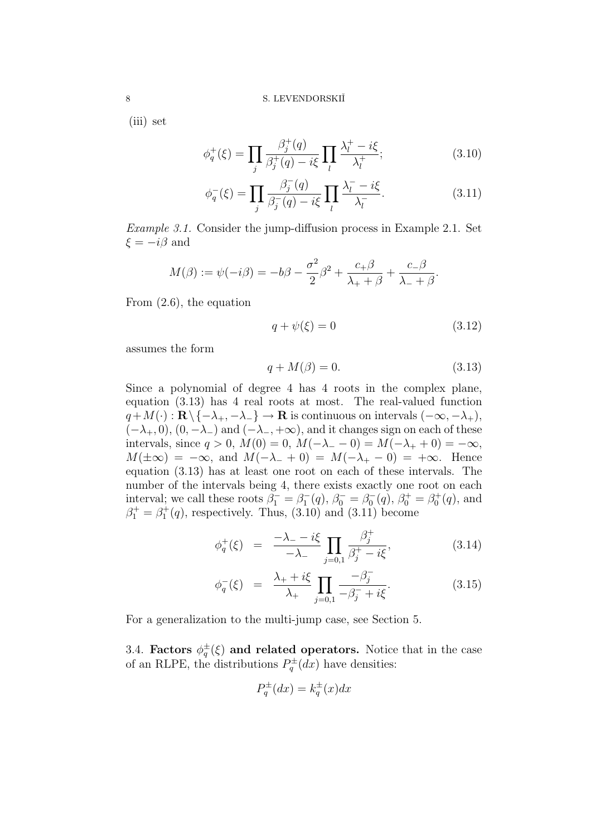(iii) set

$$
\phi_q^+(\xi) = \prod_j \frac{\beta_j^+(q)}{\beta_j^+(q) - i\xi} \prod_l \frac{\lambda_l^+ - i\xi}{\lambda_l^+};\tag{3.10}
$$

$$
\phi_q^-(\xi) = \prod_j \frac{\beta_j^-(q)}{\beta_j^-(q) - i\xi} \prod_l \frac{\lambda_l^- - i\xi}{\lambda_l^-}.
$$
\n(3.11)

Example 3.1. Consider the jump-diffusion process in Example 2.1. Set  $\xi = -i\beta$  and

$$
M(\beta) := \psi(-i\beta) = -b\beta - \frac{\sigma^2}{2}\beta^2 + \frac{c_+\beta}{\lambda_+ + \beta} + \frac{c_-\beta}{\lambda_- + \beta}.
$$

From (2.6), the equation

$$
q + \psi(\xi) = 0 \tag{3.12}
$$

assumes the form

$$
q + M(\beta) = 0.\t(3.13)
$$

Since a polynomial of degree 4 has 4 roots in the complex plane, equation (3.13) has 4 real roots at most. The real-valued function  $q+M(\cdot): \mathbf{R}\setminus\{-\lambda_+, -\lambda_-\}\to\mathbf{R}$  is continuous on intervals  $(-\infty, -\lambda_+),$  $(-\lambda_+, 0), (0, -\lambda_-)$  and  $(-\lambda_-, +\infty)$ , and it changes sign on each of these intervals, since *q* > 0, *M*(0) = 0, *M*(−λ<sub>−</sub> − 0) = *M*(−λ<sub>+</sub> + 0) = −∞,  $M(\pm\infty) = -\infty$ , and  $M(-\lambda_{-} + 0) = M(-\lambda_{+} - 0) = +\infty$ . Hence equation (3.13) has at least one root on each of these intervals. The number of the intervals being 4, there exists exactly one root on each interval; we call these roots  $\beta_1^- = \beta_1^-(q)$ ,  $\beta_0^- = \beta_0^-(q)$ ,  $\beta_0^+ = \beta_0^+(q)$ , and  $\beta_1^+ = \beta_1^+(q)$ , respectively. Thus, (3.10) and (3.11) become

$$
\phi_q^+(\xi) = \frac{-\lambda_- - i\xi}{-\lambda_-} \prod_{j=0,1} \frac{\beta_j^+}{\beta_j^+ - i\xi}, \tag{3.14}
$$

$$
\phi_q^-(\xi) = \frac{\lambda_+ + i\xi}{\lambda_+} \prod_{j=0,1} \frac{-\beta_j^-}{-\beta_j^- + i\xi}.
$$
\n(3.15)

For a generalization to the multi-jump case, see Section 5.

3.4. **Factors**  $\phi_q^{\pm}(\xi)$  and related operators. Notice that in the case of an RLPE, the distributions  $P_q^{\pm}(dx)$  have densities:

$$
P_q^{\pm}(dx) = k_q^{\pm}(x)dx
$$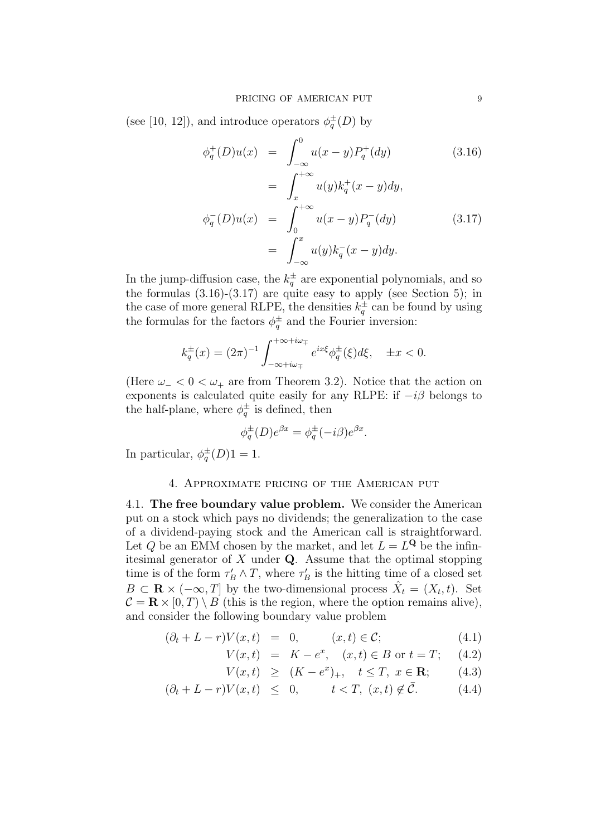(see [10, 12]), and introduce operators  $\phi_q^{\pm}(D)$  by

$$
\phi_q^+(D)u(x) = \int_{-\infty}^0 u(x-y)P_q^+(dy)
$$
(3.16)  

$$
= \int_x^{+\infty} u(y)k_q^+(x-y)dy,
$$
  

$$
\phi_q^-(D)u(x) = \int_0^{+\infty} u(x-y)P_q^-(dy)
$$
(3.17)  

$$
= \int_{-\infty}^x u(y)k_q^-(x-y)dy.
$$

In the jump-diffusion case, the  $k_q^{\pm}$  are exponential polynomials, and so the formulas  $(3.16)-(3.17)$  are quite easy to apply (see Section 5); in the case of more general RLPE, the densities  $k_q^{\pm}$  can be found by using the formulas for the factors  $\phi_q^{\pm}$  and the Fourier inversion:

$$
k_q^{\pm}(x) = (2\pi)^{-1} \int_{-\infty+i\omega_{\mp}}^{+\infty+i\omega_{\mp}} e^{ix\xi} \phi_q^{\pm}(\xi) d\xi, \quad \pm x < 0.
$$

(Here  $\omega_{-} < 0 < \omega_{+}$  are from Theorem 3.2). Notice that the action on exponents is calculated quite easily for any RLPE: if  $-i\beta$  belongs to the half-plane, where  $\phi_q^{\pm}$  is defined, then

$$
\phi_q^{\pm}(D)e^{\beta x} = \phi_q^{\pm}(-i\beta)e^{\beta x}.
$$

In particular,  $\phi_q^{\pm}(D)1 = 1$ .

## 4. Approximate pricing of the American put

4.1. **The free boundary value problem.** We consider the American put on a stock which pays no dividends; the generalization to the case of a dividend-paying stock and the American call is straightforward. Let Q be an EMM chosen by the market, and let  $L = L^{\mathbf{Q}}$  be the infinitesimal generator of X under **Q**. Assume that the optimal stopping time is of the form  $\tau_B' \wedge T$ , where  $\tau_B'$  is the hitting time of a closed set  $B \subset \mathbf{R} \times (-\infty, T]$  by the two-dimensional process  $\hat{X}_t = (X_t, t)$ . Set  $\mathcal{C} = \mathbf{R} \times [0, T] \setminus B$  (this is the region, where the option remains alive), and consider the following boundary value problem

$$
(\partial_t + L - r)V(x, t) = 0, \qquad (x, t) \in \mathcal{C}; \qquad (4.1)
$$

$$
V(x,t) = K - e^x, \quad (x,t) \in B \text{ or } t = T; \quad (4.2)
$$

$$
V(x,t) \ge (K - e^x)_+, \quad t \le T, \ x \in \mathbf{R}; \tag{4.3}
$$

$$
(\partial_t + L - r)V(x, t) \leq 0, \qquad t < T, \ (x, t) \notin \bar{C}.
$$
 (4.4)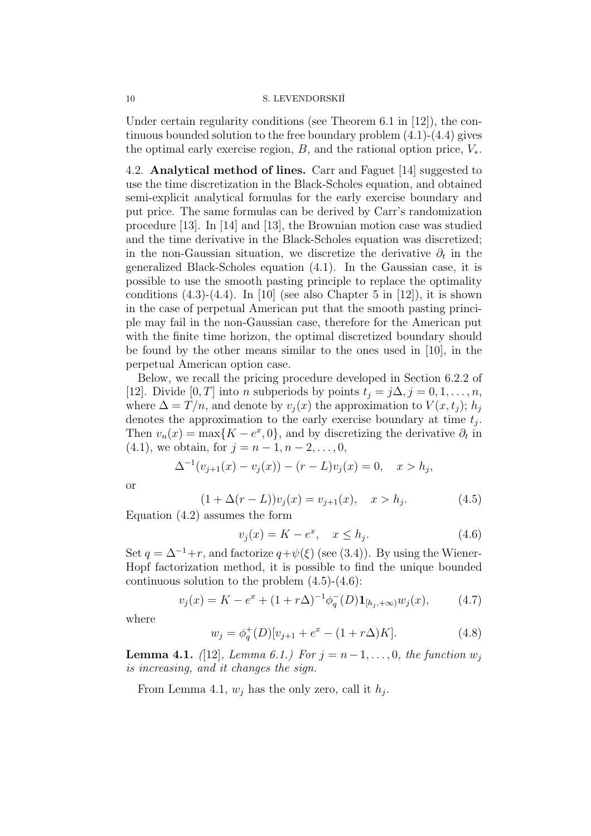Under certain regularity conditions (see Theorem 6.1 in  $|12|$ ), the continuous bounded solution to the free boundary problem (4.1)-(4.4) gives the optimal early exercise region, B, and the rational option price,  $V_*$ .

4.2. **Analytical method of lines.** Carr and Faguet [14] suggested to use the time discretization in the Black-Scholes equation, and obtained semi-explicit analytical formulas for the early exercise boundary and put price. The same formulas can be derived by Carr's randomization procedure [13]. In [14] and [13], the Brownian motion case was studied and the time derivative in the Black-Scholes equation was discretized; in the non-Gaussian situation, we discretize the derivative  $\partial_t$  in the generalized Black-Scholes equation (4.1). In the Gaussian case, it is possible to use the smooth pasting principle to replace the optimality conditions  $(4.3)-(4.4)$ . In  $[10]$  (see also Chapter 5 in  $[12]$ ), it is shown in the case of perpetual American put that the smooth pasting principle may fail in the non-Gaussian case, therefore for the American put with the finite time horizon, the optimal discretized boundary should be found by the other means similar to the ones used in [10], in the perpetual American option case.

Below, we recall the pricing procedure developed in Section 6.2.2 of [12]. Divide [0, T] into n subperiods by points  $t_j = j\Delta, j = 0, 1, \ldots, n$ , where  $\Delta = T/n$ , and denote by  $v_j(x)$  the approximation to  $V(x, t_j)$ ;  $h_j$ denotes the approximation to the early exercise boundary at time  $t_i$ . Then  $v_n(x) = \max\{K - e^x, 0\}$ , and by discretizing the derivative  $\partial_t$  in (4.1), we obtain, for  $j = n - 1, n - 2, \ldots, 0$ ,

$$
\Delta^{-1}(v_{j+1}(x) - v_j(x)) - (r - L)v_j(x) = 0, \quad x > h_j,
$$

or

$$
(1 + \Delta(r - L))v_j(x) = v_{j+1}(x), \quad x > h_j.
$$
 (4.5)

Equation (4.2) assumes the form

$$
v_j(x) = K - e^x, \quad x \le h_j. \tag{4.6}
$$

Set  $q = \Delta^{-1}+r$ , and factorize  $q+\psi(\xi)$  (see (3.4)). By using the Wiener-Hopf factorization method, it is possible to find the unique bounded continuous solution to the problem  $(4.5)-(4.6)$ :

$$
v_j(x) = K - e^x + (1 + r\Delta)^{-1} \phi_q^-(D) \mathbf{1}_{[h_j, +\infty)} w_j(x), \tag{4.7}
$$

where

$$
w_j = \phi_q^+(D)[v_{j+1} + e^x - (1 + r\Delta)K].
$$
 (4.8)

**Lemma 4.1.** ([12], Lemma 6.1.) For  $j = n-1, ..., 0$ , the function  $w_j$ is increasing, and it changes the sign.

From Lemma 4.1,  $w_i$  has the only zero, call it  $h_i$ .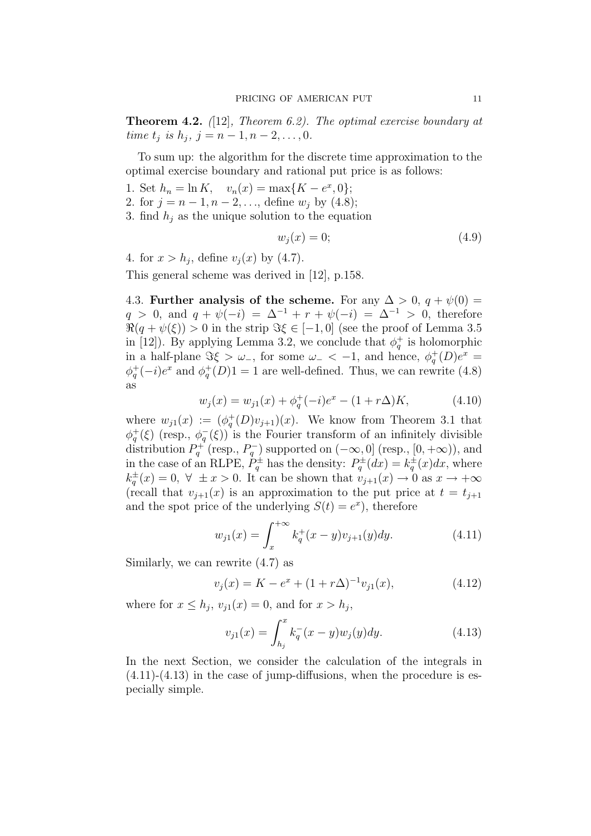**Theorem 4.2.** (12), Theorem 6.2). The optimal exercise boundary at time  $t_j$  is  $h_j$ ,  $j = n - 1, n - 2, \ldots, 0$ .

To sum up: the algorithm for the discrete time approximation to the optimal exercise boundary and rational put price is as follows:

- 1. Set  $h_n = \ln K$ ,  $v_n(x) = \max\{K e^x, 0\};$
- 2. for  $j = n 1, n 2, \ldots$ , define  $w_j$  by (4.8);
- 3. find  $h_i$  as the unique solution to the equation

$$
w_j(x) = 0;\t\t(4.9)
$$

4. for  $x > h_i$ , define  $v_i(x)$  by (4.7).

This general scheme was derived in [12], p.158.

4.3. **Further analysis of the scheme.** For any  $\Delta > 0$ ,  $q + \psi(0) =$  $q > 0$ , and  $q + \psi(-i) = \Delta^{-1} + r + \psi(-i) = \Delta^{-1} > 0$ , therefore  $\Re(q + \psi(\xi)) > 0$  in the strip  $\Im \xi \in [-1, 0]$  (see the proof of Lemma 3.5 in [12]). By applying Lemma 3.2, we conclude that  $\phi_q^+$  is holomorphic in a half-plane  $\Im \xi > \omega_-,$  for some  $\omega_- < -1$ , and hence,  $\phi_q^+(D)e^x =$  $\phi_q^+(-i)e^x$  and  $\phi_q^+(D)1=1$  are well-defined. Thus, we can rewrite (4.8) as

$$
w_j(x) = w_{j1}(x) + \phi_q^+(-i)e^x - (1 + r\Delta)K,
$$
\n(4.10)

where  $w_{j1}(x) := (\phi_q^+(D)v_{j+1})(x)$ . We know from Theorem 3.1 that  $\phi_q^+(\xi)$  (resp.,  $\phi_q^-(\xi)$ ) is the Fourier transform of an infinitely divisible distribution  $P_q^+$  (resp.,  $P_q^-$ ) supported on  $(-\infty, 0]$  (resp.,  $[0, +\infty)$ ), and in the case of an RLPE,  $\dot{P}_q^{\pm}$  has the density:  $P_q^{\pm}(dx) = k_q^{\pm}(x)dx$ , where  $k_q^{\pm}(x)=0, \forall \pm x > 0$ . It can be shown that  $v_{j+1}(x) \to 0$  as  $x \to +\infty$ (recall that  $v_{j+1}(x)$  is an approximation to the put price at  $t = t_{j+1}$ and the spot price of the underlying  $S(t) = e^x$ , therefore

$$
w_{j1}(x) = \int_{x}^{+\infty} k_q^{+}(x - y)v_{j+1}(y)dy.
$$
 (4.11)

Similarly, we can rewrite (4.7) as

$$
v_j(x) = K - e^x + (1 + r\Delta)^{-1} v_{j1}(x), \tag{4.12}
$$

where for  $x \leq h_i$ ,  $v_{i1}(x) = 0$ , and for  $x > h_i$ ,

$$
v_{j1}(x) = \int_{h_j}^{x} k_q^-(x - y)w_j(y)dy.
$$
 (4.13)

In the next Section, we consider the calculation of the integrals in  $(4.11)-(4.13)$  in the case of jump-diffusions, when the procedure is especially simple.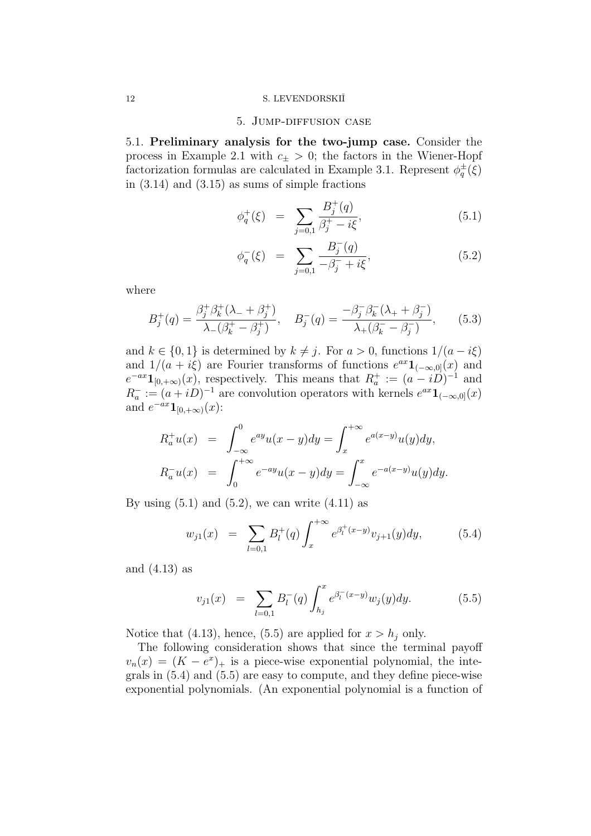#### 5. Jump-diffusion case

5.1. **Preliminary analysis for the two-jump case.** Consider the process in Example 2.1 with  $c_{\pm} > 0$ ; the factors in the Wiener-Hopf factorization formulas are calculated in Example 3.1. Represent  $\phi_q^{\pm}(\xi)$ in  $(3.14)$  and  $(3.15)$  as sums of simple fractions

$$
\phi_q^+(\xi) = \sum_{j=0,1} \frac{B_j^+(q)}{\beta_j^+ - i\xi},\tag{5.1}
$$

$$
\phi_q^-(\xi) = \sum_{j=0,1} \frac{B_j^-(q)}{-\beta_j^- + i\xi}, \tag{5.2}
$$

where

$$
B_j^+(q) = \frac{\beta_j^+ \beta_k^+ (\lambda_- + \beta_j^+)}{\lambda_- (\beta_k^+ - \beta_j^+)} , \quad B_j^-(q) = \frac{-\beta_j^- \beta_k^- (\lambda_+ + \beta_j^-)}{\lambda_+ (\beta_k^- - \beta_j^-)} , \quad (5.3)
$$

and  $k \in \{0, 1\}$  is determined by  $k \neq j$ . For  $a > 0$ , functions  $1/(a - i\xi)$ and  $1/(a + i\xi)$  are Fourier transforms of functions  $e^{ax}\mathbf{1}_{(-\infty,0]}(x)$  and  $e^{-ax}\mathbf{1}_{[0,+\infty)}(x)$ , respectively. This means that  $R_a^+ := (a - iD)^{-1}$  and  $R_a^- := (a + iD)^{-1}$  are convolution operators with kernels  $e^{ax}\mathbf{1}_{(-\infty,0]}(x)$ and  $e^{-ax}\mathbf{1}_{[0,+\infty)}(x)$ :

$$
R_a^+ u(x) = \int_{-\infty}^0 e^{ay} u(x - y) dy = \int_x^{+\infty} e^{a(x-y)} u(y) dy,
$$
  

$$
R_a^- u(x) = \int_0^{+\infty} e^{-ay} u(x - y) dy = \int_{-\infty}^x e^{-a(x-y)} u(y) dy.
$$

By using  $(5.1)$  and  $(5.2)$ , we can write  $(4.11)$  as

$$
w_{j1}(x) = \sum_{l=0,1} B_l^+(q) \int_x^{+\infty} e^{\beta_l^+(x-y)} v_{j+1}(y) dy, \qquad (5.4)
$$

and (4.13) as

$$
v_{j1}(x) = \sum_{l=0,1} B_l^{-}(q) \int_{h_j}^{x} e^{\beta_l^{-}(x-y)} w_j(y) dy.
$$
 (5.5)

Notice that (4.13), hence, (5.5) are applied for  $x > h_i$  only.

The following consideration shows that since the terminal payoff  $v_n(x)=(K - e^x)_+$  is a piece-wise exponential polynomial, the integrals in (5.4) and (5.5) are easy to compute, and they define piece-wise exponential polynomials. (An exponential polynomial is a function of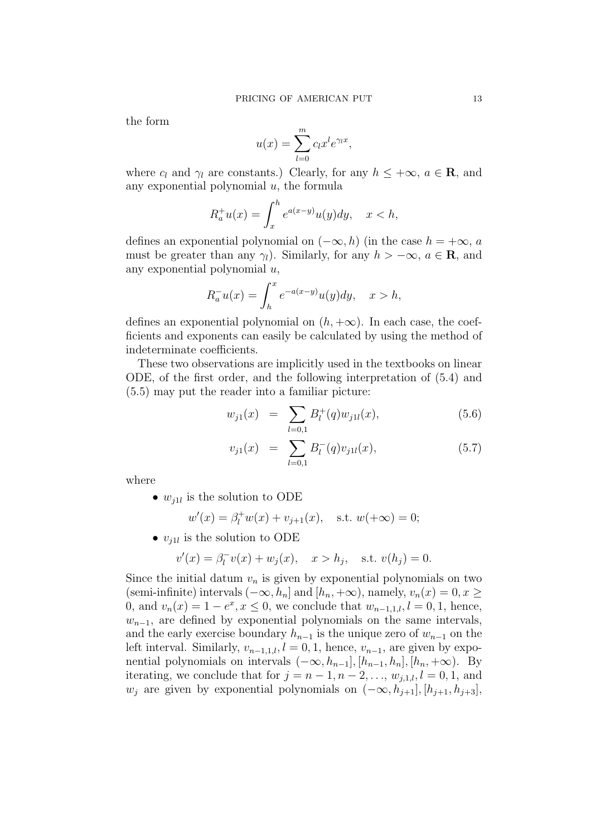the form

$$
u(x) = \sum_{l=0}^{m} c_l x^l e^{\gamma_l x},
$$

where  $c_l$  and  $\gamma_l$  are constants.) Clearly, for any  $h \leq +\infty$ ,  $a \in \mathbb{R}$ , and any exponential polynomial  $u$ , the formula

$$
R_a^+u(x) = \int_x^h e^{a(x-y)}u(y)dy, \quad x < h,
$$

defines an exponential polynomial on  $(-\infty, h)$  (in the case  $h = +\infty$ , a must be greater than any  $\gamma_l$ ). Similarly, for any  $h > -\infty$ ,  $a \in \mathbb{R}$ , and any exponential polynomial  $u$ ,

$$
R_a^- u(x) = \int_h^x e^{-a(x-y)} u(y) dy, \quad x > h,
$$

defines an exponential polynomial on  $(h, +\infty)$ . In each case, the coefficients and exponents can easily be calculated by using the method of indeterminate coefficients.

These two observations are implicitly used in the textbooks on linear ODE, of the first order, and the following interpretation of (5.4) and (5.5) may put the reader into a familiar picture:

$$
w_{j1}(x) = \sum_{l=0,1} B_l^+(q)w_{j1l}(x), \qquad (5.6)
$$

$$
v_{j1}(x) = \sum_{l=0,1} B_l^{-}(q) v_{j1l}(x), \qquad (5.7)
$$

where

•  $w_{i1l}$  is the solution to ODE

$$
w'(x) = \beta_i^+ w(x) + v_{j+1}(x)
$$
, s.t.  $w(+\infty) = 0$ ;

•  $v_{i1l}$  is the solution to ODE

$$
v'(x) = \beta_i^- v(x) + w_j(x), \quad x > h_j, \quad \text{s.t. } v(h_j) = 0.
$$

Since the initial datum  $v_n$  is given by exponential polynomials on two (semi-infinite) intervals  $(-\infty, h_n]$  and  $[h_n, +\infty)$ , namely,  $v_n(x)=0, x \ge$ 0, and  $v_n(x) = 1 - e^x, x \le 0$ , we conclude that  $w_{n-1,1,l}$ ,  $l = 0, 1$ , hence,  $w_{n-1}$ , are defined by exponential polynomials on the same intervals, and the early exercise boundary  $h_{n-1}$  is the unique zero of  $w_{n-1}$  on the left interval. Similarly,  $v_{n-1,1,l}$ ,  $l = 0, 1$ , hence,  $v_{n-1}$ , are given by exponential polynomials on intervals  $(-\infty, h_{n-1}], [h_{n-1}, h_n], [h_n, +\infty)$ . By iterating, we conclude that for  $j = n - 1, n - 2, \ldots, w_{j,1,l}, l = 0, 1, \text{ and}$  $w_j$  are given by exponential polynomials on  $(-\infty, h_{j+1}], [h_{j+1}, h_{j+3}],$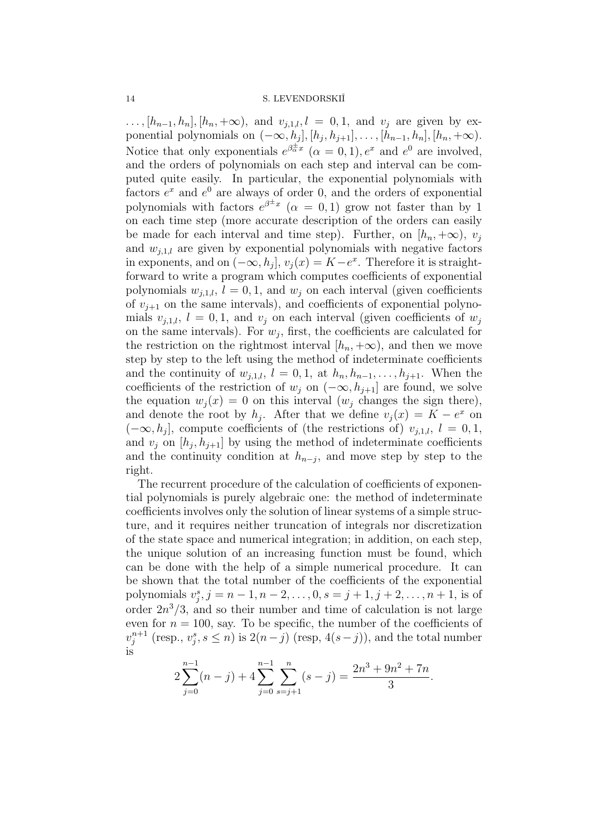...,  $[h_{n-1}, h_n]$ ,  $[h_n, +\infty)$ , and  $v_{j,1,l}$ ,  $l = 0, 1$ , and  $v_j$  are given by exponential polynomials on  $(-\infty, h_j], [h_j, h_{j+1}], \ldots, [h_{n-1}, h_n], [h_n, +\infty)$ . Notice that only exponentials  $e^{\beta \frac{1}{\alpha}x}$   $(\alpha = 0, 1), e^x$  and  $e^0$  are involved, and the orders of polynomials on each step and interval can be computed quite easily. In particular, the exponential polynomials with factors  $e^x$  and  $e^0$  are always of order 0, and the orders of exponential polynomials with factors  $e^{\beta \pm x}$  ( $\alpha = 0, 1$ ) grow not faster than by 1 on each time step (more accurate description of the orders can easily be made for each interval and time step). Further, on  $[h_n, +\infty)$ ,  $v_i$ and  $w_{i,1,l}$  are given by exponential polynomials with negative factors in exponents, and on  $(-\infty, h_i]$ ,  $v_i(x) = K - e^x$ . Therefore it is straightforward to write a program which computes coefficients of exponential polynomials  $w_{i,1,l}$ ,  $l = 0,1$ , and  $w_i$  on each interval (given coefficients of  $v_{j+1}$  on the same intervals), and coefficients of exponential polynomials  $v_{j,1,l}$ ,  $l = 0,1$ , and  $v_j$  on each interval (given coefficients of  $w_j$ on the same intervals). For  $w_i$ , first, the coefficients are calculated for the restriction on the rightmost interval  $[h_n, +\infty)$ , and then we move step by step to the left using the method of indeterminate coefficients and the continuity of  $w_{j,1,l}$ ,  $l = 0,1$ , at  $h_n, h_{n-1},\ldots,h_{j+1}$ . When the coefficients of the restriction of  $w_i$  on  $(-\infty, h_{i+1}]$  are found, we solve the equation  $w_i(x) = 0$  on this interval  $(w_i)$  changes the sign there), and denote the root by  $h_j$ . After that we define  $v_j(x) = K - e^x$  on  $(-\infty, h_i]$ , compute coefficients of (the restrictions of)  $v_{i,1,l}$ ,  $l = 0, 1$ , and  $v_j$  on  $[h_j, h_{j+1}]$  by using the method of indeterminate coefficients and the continuity condition at  $h_{n-j}$ , and move step by step to the right.

The recurrent procedure of the calculation of coefficients of exponential polynomials is purely algebraic one: the method of indeterminate coefficients involves only the solution of linear systems of a simple structure, and it requires neither truncation of integrals nor discretization of the state space and numerical integration; in addition, on each step, the unique solution of an increasing function must be found, which can be done with the help of a simple numerical procedure. It can be shown that the total number of the coefficients of the exponential polynomials  $v_j^s, j = n - 1, n - 2, \ldots, 0, s = j + 1, j + 2, \ldots, n + 1$ , is of order  $2n^3/3$ , and so their number and time of calculation is not large even for  $n = 100$ , say. To be specific, the number of the coefficients of  $v_j^{n+1}$  (resp.,  $v_j^s, s \leq n$ ) is  $2(n-j)$  (resp,  $4(s-j)$ ), and the total number is

$$
2\sum_{j=0}^{n-1} (n-j) + 4\sum_{j=0}^{n-1} \sum_{s=j+1}^{n} (s-j) = \frac{2n^3 + 9n^2 + 7n}{3}.
$$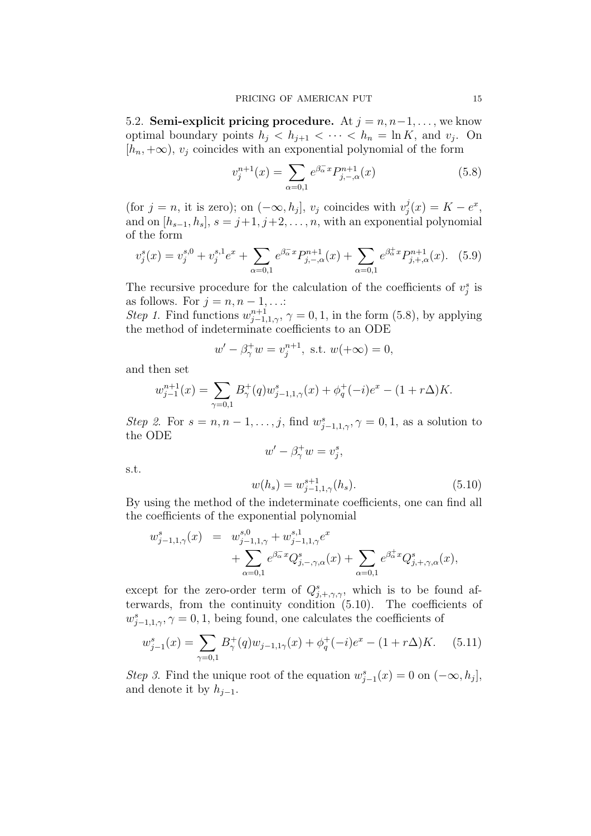5.2. **Semi-explicit pricing procedure.** At  $j = n, n-1, \ldots$ , we know optimal boundary points  $h_j < h_{j+1} < \cdots < h_n = \ln K$ , and  $v_j$ . On  $[h_n, +\infty), v_i$  coincides with an exponential polynomial of the form

$$
v_j^{n+1}(x) = \sum_{\alpha=0,1} e^{\beta_{\alpha}^{-}x} P_{j,-,\alpha}^{n+1}(x)
$$
 (5.8)

(for  $j = n$ , it is zero); on  $(-\infty, h_j]$ ,  $v_j$  coincides with  $v_j^j(x) = K - e^x$ , and on  $[h_{s-1}, h_s], s = j+1, j+2, \ldots, n$ , with an exponential polynomial of the form

$$
v_j^s(x) = v_j^{s,0} + v_j^{s,1}e^x + \sum_{\alpha=0,1} e^{\beta_\alpha x} P_{j,-,\alpha}^{n+1}(x) + \sum_{\alpha=0,1} e^{\beta_\alpha^+ x} P_{j,+,\alpha}^{n+1}(x). \tag{5.9}
$$

The recursive procedure for the calculation of the coefficients of  $v_j^s$  is as follows. For  $j = n, n - 1, \ldots$ :

Step 1. Find functions  $w_{j-1,1,\gamma}^{n+1}$ ,  $\gamma = 0,1$ , in the form (5.8), by applying the method of indeterminate coefficients to an ODE

$$
w' - \beta_{\gamma}^+ w = v_j^{n+1}
$$
, s.t.  $w(+\infty) = 0$ ,

and then set

s.t.

$$
w_{j-1}^{n+1}(x) = \sum_{\gamma=0,1} B_{\gamma}^{+}(q) w_{j-1,1,\gamma}^{s}(x) + \phi_{q}^{+}(-i)e^{x} - (1+r\Delta)K.
$$

Step 2. For  $s = n, n - 1, \ldots, j$ , find  $w_{j-1,1,\gamma}^s, \gamma = 0, 1$ , as a solution to the ODE

$$
w' - \beta_{\gamma}^{+} w = v_{j}^{s},
$$
  

$$
w(h_{s}) = w_{j-1,1,\gamma}^{s+1}(h_{s}).
$$
 (5.10)

By using the method of the indeterminate coefficients, one can find all the coefficients of the exponential polynomial

$$
w_{j-1,1,\gamma}^{s}(x) = w_{j-1,1,\gamma}^{s,0} + w_{j-1,1,\gamma}^{s,1} e^{x} + \sum_{\alpha=0,1} e^{\beta_{\alpha}^{-}x} Q_{j,-,\gamma,\alpha}^{s}(x) + \sum_{\alpha=0,1} e^{\beta_{\alpha}^{+}x} Q_{j,+,\gamma,\alpha}^{s}(x),
$$

except for the zero-order term of  $Q_{j, +, \gamma, \gamma}^s$ , which is to be found afterwards, from the continuity condition (5.10). The coefficients of  $w_{j-1,1,\gamma}^s, \gamma = 0,1$ , being found, one calculates the coefficients of

$$
w_{j-1}^s(x) = \sum_{\gamma=0,1} B_{\gamma}^+(q)w_{j-1,1\gamma}(x) + \phi_q^+(-i)e^x - (1+r\Delta)K. \tag{5.11}
$$

Step 3. Find the unique root of the equation  $w_{j-1}^s(x) = 0$  on  $(-\infty, h_j]$ , and denote it by  $h_{j-1}$ .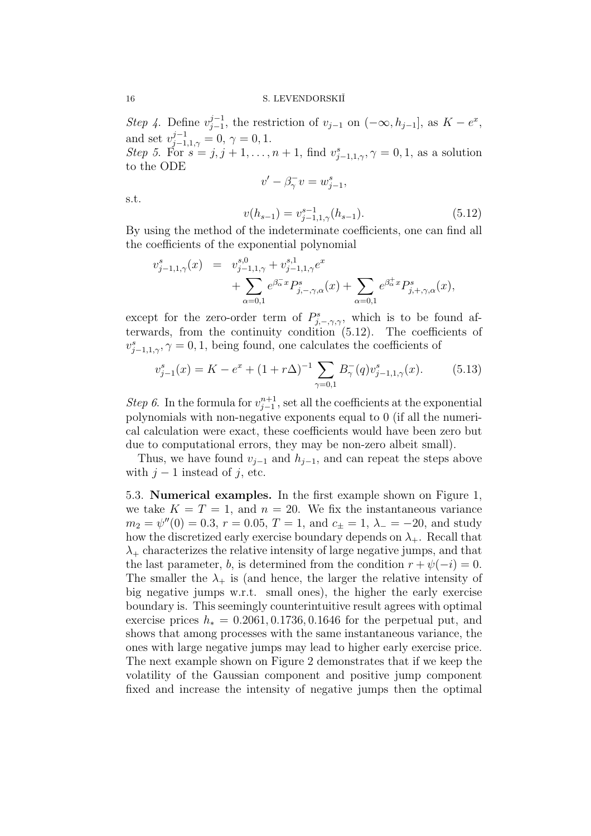Step 4. Define  $v_{j-1}^{j-1}$ , the restriction of  $v_{j-1}$  on  $(-\infty, h_{j-1}]$ , as  $K - e^x$ , and set  $v_{j-1,1,\gamma}^{j-1} = 0, \gamma = 0, 1.$ 

Step 5. For  $s = j, j + 1, \ldots, n + 1$ , find  $v_{j-1,1,\gamma}^s, \gamma = 0, 1$ , as a solution to the ODE

$$
v' - \beta_{\gamma}^- v = w_{j-1}^s,
$$

s.t.

$$
v(h_{s-1}) = v_{j-1,1,\gamma}^{s-1}(h_{s-1}).
$$
\n(5.12)

By using the method of the indeterminate coefficients, one can find all the coefficients of the exponential polynomial

$$
v_{j-1,1,\gamma}^{s}(x) = v_{j-1,1,\gamma}^{s,0} + v_{j-1,1,\gamma}^{s,1} e^x + \sum_{\alpha=0,1} e^{\beta_{\alpha}^{-}x} P_{j,-,\gamma,\alpha}^{s}(x) + \sum_{\alpha=0,1} e^{\beta_{\alpha}^{+}x} P_{j,+,\gamma,\alpha}^{s}(x),
$$

except for the zero-order term of  $P^s_{j,-,\gamma,\gamma}$ , which is to be found afterwards, from the continuity condition (5.12). The coefficients of  $v_{j-1,1,\gamma}^s, \gamma = 0,1$ , being found, one calculates the coefficients of

$$
v_{j-1}^s(x) = K - e^x + (1 + r\Delta)^{-1} \sum_{\gamma=0,1} B_{\gamma}^-(q) v_{j-1,1,\gamma}^s(x). \tag{5.13}
$$

Step 6. In the formula for  $v_{j-1}^{n+1}$ , set all the coefficients at the exponential polynomials with non-negative exponents equal to 0 (if all the numerical calculation were exact, these coefficients would have been zero but due to computational errors, they may be non-zero albeit small).

Thus, we have found  $v_{i-1}$  and  $h_{i-1}$ , and can repeat the steps above with  $j - 1$  instead of j, etc.

5.3. **Numerical examples.** In the first example shown on Figure 1, we take  $K = T = 1$ , and  $n = 20$ . We fix the instantaneous variance  $m_2 = \psi''(0) = 0.3, r = 0.05, T = 1, \text{ and } c_{\pm} = 1, \lambda_{-} = -20, \text{ and study}$ how the discretized early exercise boundary depends on  $\lambda_{+}$ . Recall that  $\lambda_{+}$  characterizes the relative intensity of large negative jumps, and that the last parameter, b, is determined from the condition  $r + \psi(-i) = 0$ . The smaller the  $\lambda_+$  is (and hence, the larger the relative intensity of big negative jumps w.r.t. small ones), the higher the early exercise boundary is. This seemingly counterintuitive result agrees with optimal exercise prices  $h_* = 0.2061, 0.1736, 0.1646$  for the perpetual put, and shows that among processes with the same instantaneous variance, the ones with large negative jumps may lead to higher early exercise price. The next example shown on Figure 2 demonstrates that if we keep the volatility of the Gaussian component and positive jump component fixed and increase the intensity of negative jumps then the optimal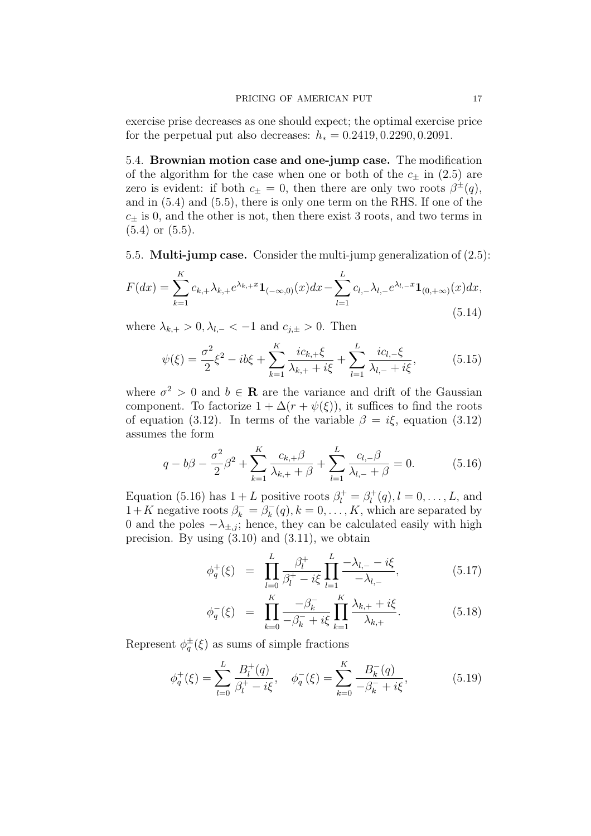exercise prise decreases as one should expect; the optimal exercise price for the perpetual put also decreases:  $h_* = 0.2419, 0.2290, 0.2091$ .

5.4. **Brownian motion case and one-jump case.** The modification of the algorithm for the case when one or both of the  $c_{+}$  in (2.5) are zero is evident: if both  $c_{\pm} = 0$ , then there are only two roots  $\beta^{\pm}(q)$ , and in (5.4) and (5.5), there is only one term on the RHS. If one of the  $c_{\pm}$  is 0, and the other is not, then there exist 3 roots, and two terms in  $(5.4)$  or  $(5.5)$ .

5.5. **Multi-jump case.** Consider the multi-jump generalization of (2.5):

$$
F(dx) = \sum_{k=1}^{K} c_{k,+} \lambda_{k,+} e^{\lambda_{k,+} x} \mathbf{1}_{(-\infty,0)}(x) dx - \sum_{l=1}^{L} c_{l,-} \lambda_{l,-} e^{\lambda_{l,-} x} \mathbf{1}_{(0,+\infty)}(x) dx,
$$
\n(5.14)

where  $\lambda_{k,+} > 0, \lambda_{k,-} < -1$  and  $c_{i,+} > 0$ . Then

$$
\psi(\xi) = \frac{\sigma^2}{2}\xi^2 - ib\xi + \sum_{k=1}^K \frac{ic_{k,+}\xi}{\lambda_{k,+} + i\xi} + \sum_{l=1}^L \frac{ic_{l,-}\xi}{\lambda_{l,-} + i\xi},\tag{5.15}
$$

where  $\sigma^2 > 0$  and  $b \in \mathbf{R}$  are the variance and drift of the Gaussian component. To factorize  $1 + \Delta(r + \psi(\xi))$ , it suffices to find the roots of equation (3.12). In terms of the variable  $\beta = i\xi$ , equation (3.12) assumes the form

$$
q - b\beta - \frac{\sigma^2}{2}\beta^2 + \sum_{k=1}^K \frac{c_{k,+}\beta}{\lambda_{k,+} + \beta} + \sum_{l=1}^L \frac{c_{l,-}\beta}{\lambda_{l,-} + \beta} = 0.
$$
 (5.16)

Equation (5.16) has  $1 + L$  positive roots  $\beta_l^+ = \beta_l^+(q), l = 0, \ldots, L$ , and  $1+K$  negative roots  $\beta_k^- = \beta_k^-(q), k = 0, \ldots, K$ , which are separated by 0 and the poles  $-\lambda_{\pm,j}$ ; hence, they can be calculated easily with high precision. By using  $(3.10)$  and  $(3.11)$ , we obtain

$$
\phi_q^+(\xi) = \prod_{l=0}^L \frac{\beta_l^+}{\beta_l^+ - i\xi} \prod_{l=1}^L \frac{-\lambda_{l,-} - i\xi}{-\lambda_{l,-}}, \tag{5.17}
$$

$$
\phi_q^-(\xi) = \prod_{k=0}^K \frac{-\beta_k^-}{-\beta_k^- + i\xi} \prod_{k=1}^K \frac{\lambda_{k,+} + i\xi}{\lambda_{k,+}}.
$$
 (5.18)

Represent  $\phi_q^{\pm}(\xi)$  as sums of simple fractions

$$
\phi_q^+(\xi) = \sum_{l=0}^L \frac{B_l^+(q)}{\beta_l^+ - i\xi}, \quad \phi_q^-(\xi) = \sum_{k=0}^K \frac{B_k^-(q)}{-\beta_k^- + i\xi}, \tag{5.19}
$$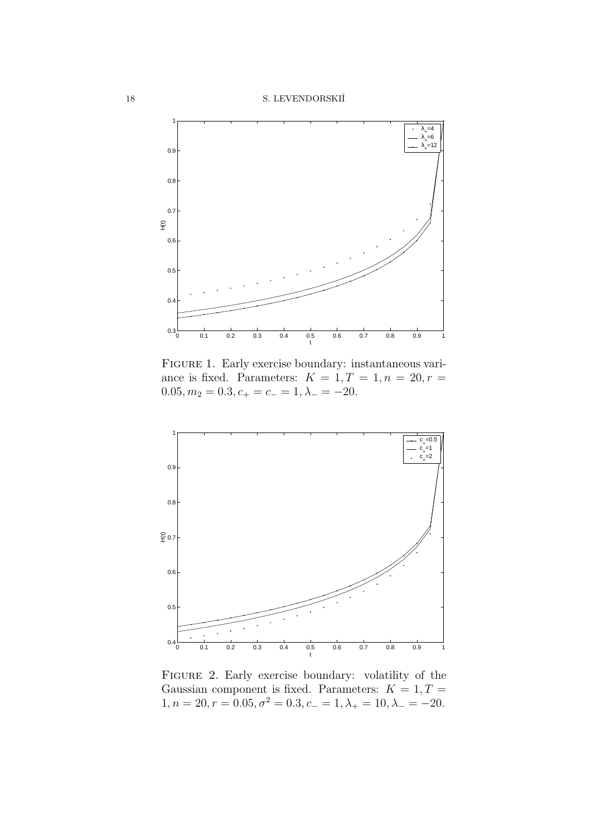

FIGURE 1. Early exercise boundary: instantaneous variance is fixed. Parameters:  $K = 1, T = 1, n = 20, r =$  $0.05, m_2 = 0.3, c_+ = c_- = 1, \lambda_- = -20.$ 



FIGURE 2. Early exercise boundary: volatility of the Gaussian component is fixed. Parameters:  $K = 1, T =$  $1, n = 20, r = 0.05, \sigma^2 = 0.3, c_- = 1, \lambda_+ = 10, \lambda_- = -20.$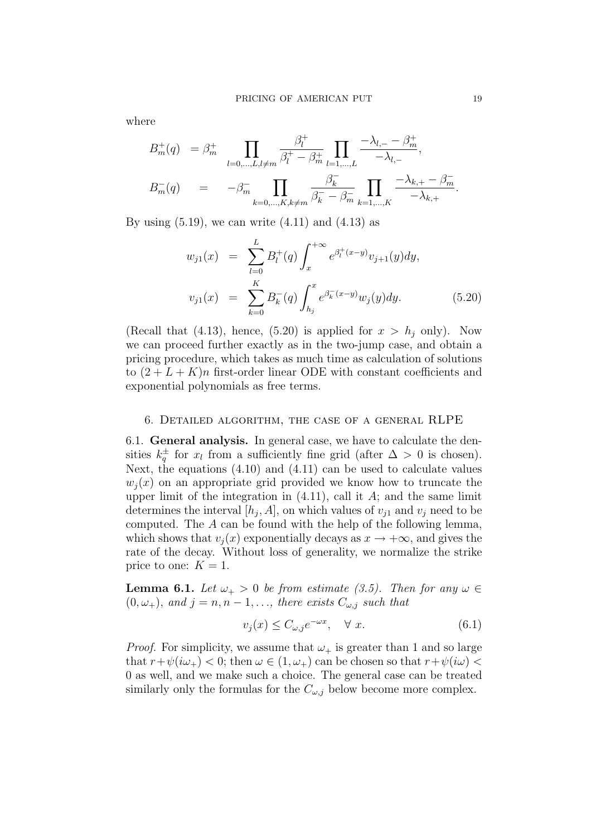where

$$
B_m^+(q) = \beta_m^+ \prod_{l=0,\dots,L,l \neq m} \frac{\beta_l^+}{\beta_l^+ - \beta_m^+} \prod_{l=1,\dots,L} \frac{-\lambda_{l,-} - \beta_m^+}{-\lambda_{l,-}},
$$
  

$$
B_m^-(q) = -\beta_m^- \prod_{k=0,\dots,K,k \neq m} \frac{\beta_k^-}{\beta_k^- - \beta_m^-} \prod_{k=1,\dots,K} \frac{-\lambda_{k,+} - \beta_m^-}{-\lambda_{k,+}}.
$$

By using  $(5.19)$ , we can write  $(4.11)$  and  $(4.13)$  as

$$
w_{j1}(x) = \sum_{l=0}^{L} B_l^+(q) \int_x^{+\infty} e^{\beta_l^+(x-y)} v_{j+1}(y) dy,
$$
  

$$
v_{j1}(x) = \sum_{k=0}^{K} B_k^-(q) \int_{h_j}^x e^{\beta_k^-(x-y)} w_j(y) dy.
$$
 (5.20)

(Recall that (4.13), hence, (5.20) is applied for  $x > h_i$  only). Now we can proceed further exactly as in the two-jump case, and obtain a pricing procedure, which takes as much time as calculation of solutions to  $(2 + L + K)n$  first-order linear ODE with constant coefficients and exponential polynomials as free terms.

#### 6. Detailed algorithm, the case of a general RLPE

6.1. **General analysis.** In general case, we have to calculate the densities  $k_q^{\pm}$  for  $x_l$  from a sufficiently fine grid (after  $\Delta > 0$  is chosen). Next, the equations (4.10) and (4.11) can be used to calculate values  $w_i(x)$  on an appropriate grid provided we know how to truncate the upper limit of the integration in  $(4.11)$ , call it A; and the same limit determines the interval  $[h_i, A]$ , on which values of  $v_{i1}$  and  $v_i$  need to be computed. The A can be found with the help of the following lemma, which shows that  $v_i(x)$  exponentially decays as  $x \to +\infty$ , and gives the rate of the decay. Without loss of generality, we normalize the strike price to one:  $K = 1$ .

**Lemma 6.1.** Let  $\omega_+ > 0$  be from estimate (3.5). Then for any  $\omega \in$  $(0, \omega_+)$ , and  $j = n, n - 1, \ldots$ , there exists  $C_{\omega, j}$  such that

$$
v_j(x) \le C_{\omega, j} e^{-\omega x}, \quad \forall \ x.
$$
\n
$$
(6.1)
$$

*Proof.* For simplicity, we assume that  $\omega_{+}$  is greater than 1 and so large that  $r+\psi(i\omega_+) < 0$ ; then  $\omega \in (1, \omega_+)$  can be chosen so that  $r+\psi(i\omega) <$ 0 as well, and we make such a choice. The general case can be treated similarly only the formulas for the  $C_{\omega,i}$  below become more complex.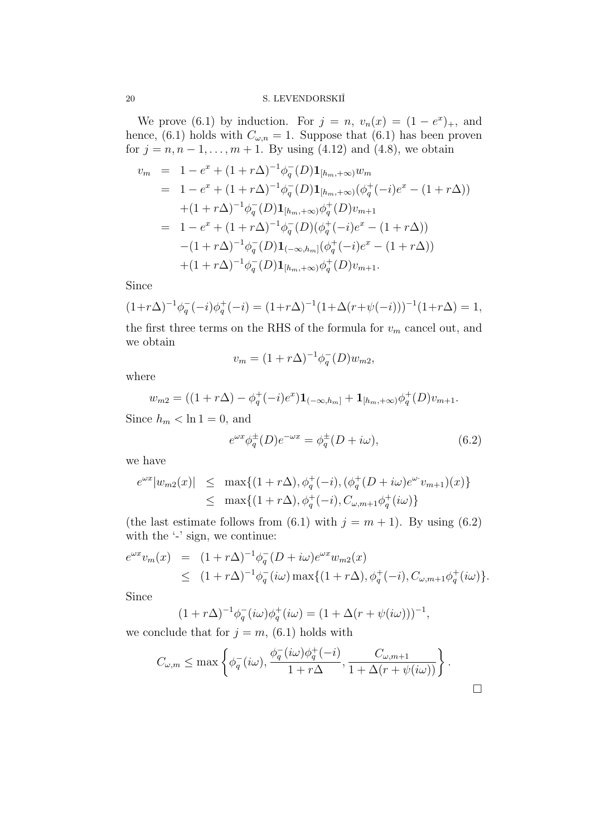We prove (6.1) by induction. For  $j = n$ ,  $v_n(x) = (1 - e^x)_+$ , and hence, (6.1) holds with  $C_{\omega,n} = 1$ . Suppose that (6.1) has been proven for  $j = n, n - 1, ..., m + 1$ . By using (4.12) and (4.8), we obtain

$$
v_m = 1 - e^x + (1 + r\Delta)^{-1} \phi_q^-(D) \mathbf{1}_{[h_m, +\infty)} w_m
$$
  
\n
$$
= 1 - e^x + (1 + r\Delta)^{-1} \phi_q^-(D) \mathbf{1}_{[h_m, +\infty)} (\phi_q^+(-i)e^x - (1 + r\Delta))
$$
  
\n
$$
+ (1 + r\Delta)^{-1} \phi_q^-(D) \mathbf{1}_{[h_m, +\infty)} \phi_q^+(D) v_{m+1}
$$
  
\n
$$
= 1 - e^x + (1 + r\Delta)^{-1} \phi_q^-(D) (\phi_q^+(-i)e^x - (1 + r\Delta))
$$
  
\n
$$
- (1 + r\Delta)^{-1} \phi_q^-(D) \mathbf{1}_{(-\infty, h_m]} (\phi_q^+(-i)e^x - (1 + r\Delta))
$$
  
\n
$$
+ (1 + r\Delta)^{-1} \phi_q^-(D) \mathbf{1}_{[h_m, +\infty)} \phi_q^+(D) v_{m+1}.
$$

Since

$$
(1+r\Delta)^{-1}\phi_q^-(-i)\phi_q^+(-i) = (1+r\Delta)^{-1}(1+\Delta(r+\psi(-i)))^{-1}(1+r\Delta) = 1,
$$

the first three terms on the RHS of the formula for  $v_m$  cancel out, and we obtain

$$
v_m = (1 + r\Delta)^{-1} \phi_q^-(D) w_{m2},
$$

where

$$
w_{m2} = ((1 + r\Delta) - \phi_q^+(-i)e^x)\mathbf{1}_{(-\infty,h_m]} + \mathbf{1}_{[h_m,+\infty)}\phi_q^+(D)v_{m+1}.
$$

Since  $h_m < \ln 1 = 0$ , and

$$
e^{\omega x}\phi_q^{\pm}(D)e^{-\omega x} = \phi_q^{\pm}(D+i\omega),\tag{6.2}
$$

we have

$$
e^{\omega x}|w_{m2}(x)| \leq \max\{(1+r\Delta), \phi_q^+(-i), (\phi_q^+(D+i\omega)e^{\omega}v_{m+1})(x)\}\
$$
  

$$
\leq \max\{(1+r\Delta), \phi_q^+(-i), C_{\omega, m+1}\phi_q^+(i\omega)\}\
$$

(the last estimate follows from (6.1) with  $j = m + 1$ ). By using (6.2) with the  $\cdot$  sign, we continue:

$$
e^{\omega x}v_m(x) = (1+r\Delta)^{-1}\phi_q^-(D+i\omega)e^{\omega x}w_{m2}(x)
$$
  
\n
$$
\leq (1+r\Delta)^{-1}\phi_q^-(i\omega)\max\{(1+r\Delta),\phi_q^+(-i),C_{\omega,m+1}\phi_q^+(i\omega)\}.
$$

Since

$$
(1+r\Delta)^{-1}\phi_q^-(i\omega)\phi_q^+(i\omega) = (1+\Delta(r+\psi(i\omega)))^{-1},
$$

we conclude that for  $j = m$ , (6.1) holds with

$$
C_{\omega,m} \le \max\left\{\phi_q^-(i\omega), \frac{\phi_q^-(i\omega)\phi_q^+(-i)}{1+r\Delta}, \frac{C_{\omega,m+1}}{1+\Delta(r+\psi(i\omega))}\right\}.
$$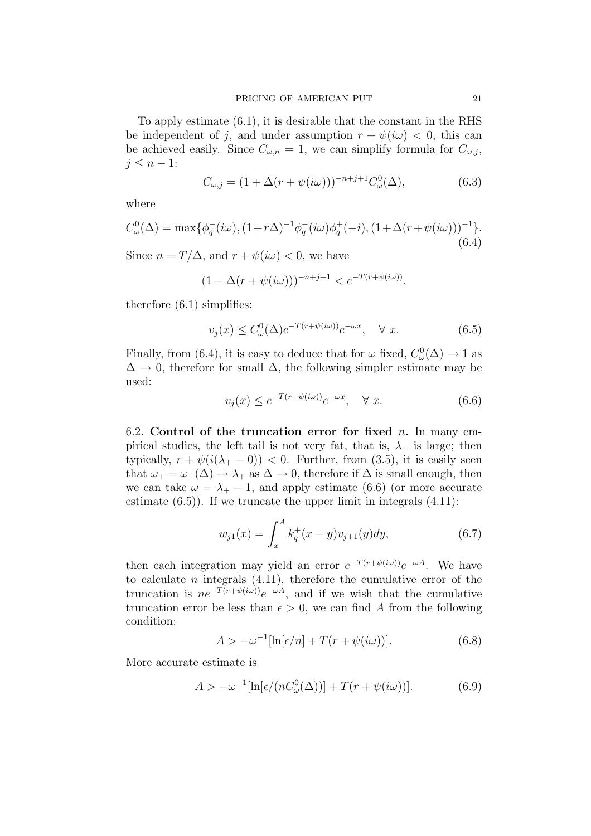To apply estimate (6.1), it is desirable that the constant in the RHS be independent of j, and under assumption  $r + \psi(i\omega) < 0$ , this can be achieved easily. Since  $C_{\omega,n} = 1$ , we can simplify formula for  $C_{\omega,i}$ ,  $j \leq n-1$ :

$$
C_{\omega,j} = (1 + \Delta(r + \psi(i\omega)))^{-n+j+1} C_{\omega}^{0}(\Delta),
$$
\n(6.3)

where

$$
C_{\omega}^{0}(\Delta) = \max \{ \phi_{q}^{-}(i\omega), (1+r\Delta)^{-1} \phi_{q}^{-}(i\omega) \phi_{q}^{+}(-i), (1+\Delta(r+\psi(i\omega)))^{-1} \}.
$$
\n(6.4)

Since  $n = T/\Delta$ , and  $r + \psi(i\omega) < 0$ , we have

$$
(1 + \Delta(r + \psi(i\omega)))^{-n+j+1} < e^{-T(r + \psi(i\omega))},
$$

therefore (6.1) simplifies:

$$
v_j(x) \le C_\omega^0(\Delta) e^{-T(r+\psi(i\omega))} e^{-\omega x}, \quad \forall x. \tag{6.5}
$$

Finally, from (6.4), it is easy to deduce that for  $\omega$  fixed,  $C_{\omega}^{0}(\Delta) \rightarrow 1$  as  $\Delta \rightarrow 0$ , therefore for small  $\Delta$ , the following simpler estimate may be used:

$$
v_j(x) \le e^{-T(r+\psi(i\omega))}e^{-\omega x}, \quad \forall x. \tag{6.6}
$$

6.2. **Control of the truncation error for fixed** n**.** In many empirical studies, the left tail is not very fat, that is,  $\lambda_{+}$  is large; then typically,  $r + \psi(i(\lambda_{+} - 0)) < 0$ . Further, from (3.5), it is easily seen that  $\omega_+ = \omega_+(\Delta) \rightarrow \lambda_+$  as  $\Delta \rightarrow 0$ , therefore if  $\Delta$  is small enough, then we can take  $\omega = \lambda_{+} - 1$ , and apply estimate (6.6) (or more accurate estimate  $(6.5)$ ). If we truncate the upper limit in integrals  $(4.11)$ :

$$
w_{j1}(x) = \int_{x}^{A} k_q^{+}(x - y)v_{j+1}(y)dy,
$$
\n(6.7)

then each integration may yield an error  $e^{-T(r+\psi(i\omega))}e^{-\omega A}$ . We have to calculate  $n$  integrals  $(4.11)$ , therefore the cumulative error of the truncation is  $ne^{-T(r+\psi(i\omega))}e^{-\omega A}$ , and if we wish that the cumulative truncation error be less than  $\epsilon > 0$ , we can find A from the following condition:

$$
A > -\omega^{-1}[\ln[\epsilon/n] + T(r + \psi(i\omega))]. \tag{6.8}
$$

More accurate estimate is

$$
A > -\omega^{-1}[\ln[\epsilon/(nC_{\omega}^{0}(\Delta))] + T(r + \psi(i\omega))]. \tag{6.9}
$$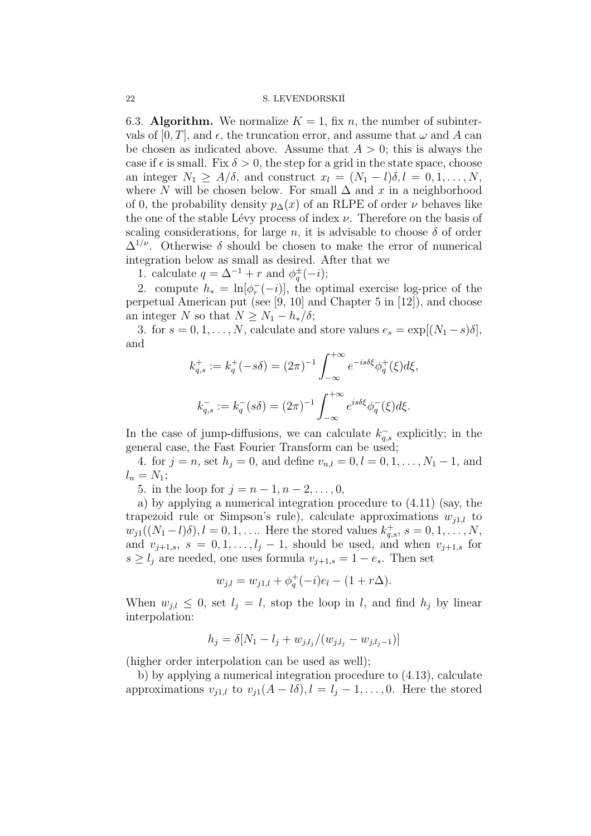6.3. **Algorithm.** We normalize  $K = 1$ , fix n, the number of subintervals of  $[0, T]$ , and  $\epsilon$ , the truncation error, and assume that  $\omega$  and A can be chosen as indicated above. Assume that  $A > 0$ ; this is always the case if  $\epsilon$  is small. Fix  $\delta > 0$ , the step for a grid in the state space, choose an integer  $N_1 \geq A/\delta$ , and construct  $x_l = (N_1 - l)\delta, l = 0, 1, \ldots, N$ , where N will be chosen below. For small  $\Delta$  and x in a neighborhood of 0, the probability density  $p_{\Delta}(x)$  of an RLPE of order  $\nu$  behaves like the one of the stable Lévy process of index  $\nu$ . Therefore on the basis of scaling considerations, for large n, it is advisable to choose  $\delta$  of order  $\Delta^{1/\nu}$ . Otherwise  $\delta$  should be chosen to make the error of numerical integration below as small as desired. After that we

1. calculate  $q = \Delta^{-1} + r$  and  $\phi_q^{\pm}(-i)$ ;

2. compute  $h_* = \ln[\phi_r^{-}(-i)]$ , the optimal exercise log-price of the perpetual American put (see [9, 10] and Chapter 5 in [12]), and choose an integer N so that  $N \geq N_1 - h_*/\delta$ ;

3. for  $s = 0, 1, \ldots, N$ , calculate and store values  $e_s = \exp[(N_1 - s)\delta]$ , and

$$
k_{q,s}^+ := k_q^+(-s\delta) = (2\pi)^{-1} \int_{-\infty}^{+\infty} e^{-is\delta\xi} \phi_q^+(\xi) d\xi,
$$
  

$$
k_{q,s}^- := k_q^-(s\delta) = (2\pi)^{-1} \int_{-\infty}^{+\infty} e^{is\delta\xi} \phi_q^-(\xi) d\xi.
$$

In the case of jump-diffusions, we can calculate  $k_{q,s}^-$  explicitly; in the general case, the Fast Fourier Transform can be used;

4. for  $j = n$ , set  $h_j = 0$ , and define  $v_{n,l} = 0, l = 0, 1, ..., N_1 - 1$ , and  $l_n = N_1;$ 

5. in the loop for  $j = n - 1, n - 2, ..., 0$ ,

a) by applying a numerical integration procedure to (4.11) (say, the trapezoid rule or Simpson's rule), calculate approximations  $w_{i1,l}$  to  $w_{j1}((N_1-l)\delta), l = 0, 1, \ldots$  Here the stored values  $k_{q,s}^{+}$ ,  $s = 0, 1, \ldots, N$ , and  $v_{j+1,s}$ ,  $s = 0, 1, \ldots, l_j - 1$ , should be used, and when  $v_{j+1,s}$  for  $s \geq l_i$  are needed, one uses formula  $v_{i+1,s} = 1 - e_s$ . Then set

$$
w_{j,l} = w_{j1,l} + \phi_q^+(-i)e_l - (1 + r\Delta).
$$

When  $w_{i,l} \leq 0$ , set  $l_i = l$ , stop the loop in l, and find  $h_i$  by linear interpolation:

$$
h_j = \delta[N_1 - l_j + w_{j,l_j}/(w_{j,l_j} - w_{j,l_j-1})]
$$

(higher order interpolation can be used as well);

b) by applying a numerical integration procedure to (4.13), calculate approximations  $v_{i1,l}$  to  $v_{i1}(A - l\delta), l = l_i - 1, \ldots, 0$ . Here the stored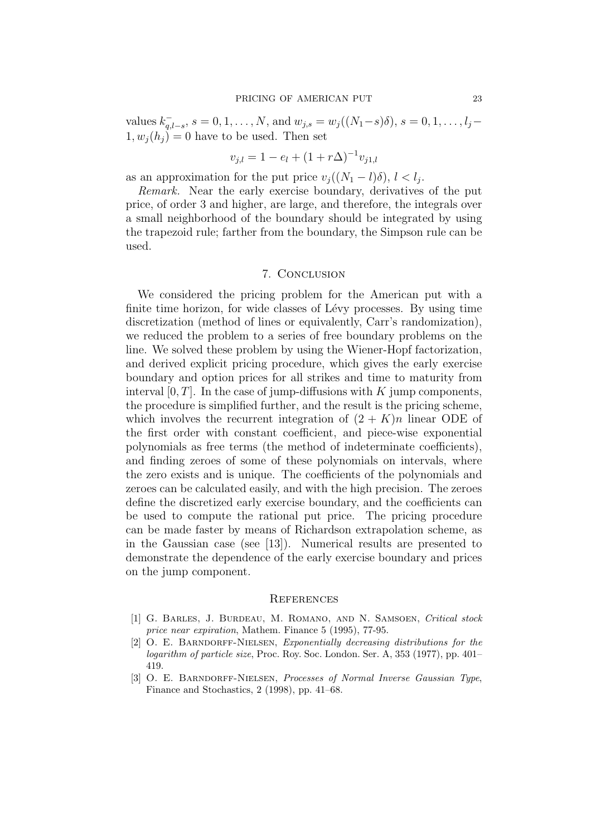values  $k_{q,l-s}^-$ ,  $s = 0, 1, ..., N$ , and  $w_{j,s} = w_j((N_1 - s)\delta)$ ,  $s = 0, 1, ..., l_j 1, w_i(h_i) = 0$  have to be used. Then set

$$
v_{j,l} = 1 - e_l + (1 + r\Delta)^{-1} v_{j1,l}
$$

as an approximation for the put price  $v_i((N_1-l)\delta), l < l_i$ .

Remark. Near the early exercise boundary, derivatives of the put price, of order 3 and higher, are large, and therefore, the integrals over a small neighborhood of the boundary should be integrated by using the trapezoid rule; farther from the boundary, the Simpson rule can be used.

#### 7. Conclusion

We considered the pricing problem for the American put with a finite time horizon, for wide classes of Lévy processes. By using time discretization (method of lines or equivalently, Carr's randomization), we reduced the problem to a series of free boundary problems on the line. We solved these problem by using the Wiener-Hopf factorization, and derived explicit pricing procedure, which gives the early exercise boundary and option prices for all strikes and time to maturity from interval  $[0, T]$ . In the case of jump-diffusions with K jump components, the procedure is simplified further, and the result is the pricing scheme, which involves the recurrent integration of  $(2 + K)n$  linear ODE of the first order with constant coefficient, and piece-wise exponential polynomials as free terms (the method of indeterminate coefficients), and finding zeroes of some of these polynomials on intervals, where the zero exists and is unique. The coefficients of the polynomials and zeroes can be calculated easily, and with the high precision. The zeroes define the discretized early exercise boundary, and the coefficients can be used to compute the rational put price. The pricing procedure can be made faster by means of Richardson extrapolation scheme, as in the Gaussian case (see [13]). Numerical results are presented to demonstrate the dependence of the early exercise boundary and prices on the jump component.

#### **REFERENCES**

- [1] G. Barles, J. Burdeau, M. Romano, and N. Samsoen, *Critical stock price near expiration*, Mathem. Finance 5 (1995), 77-95.
- [2] O. E. Barndorff-Nielsen, *Exponentially decreasing distributions for the logarithm of particle size*, Proc. Roy. Soc. London. Ser. A, 353 (1977), pp. 401– 419.
- [3] O. E. Barndorff-Nielsen, *Processes of Normal Inverse Gaussian Type*, Finance and Stochastics, 2 (1998), pp. 41–68.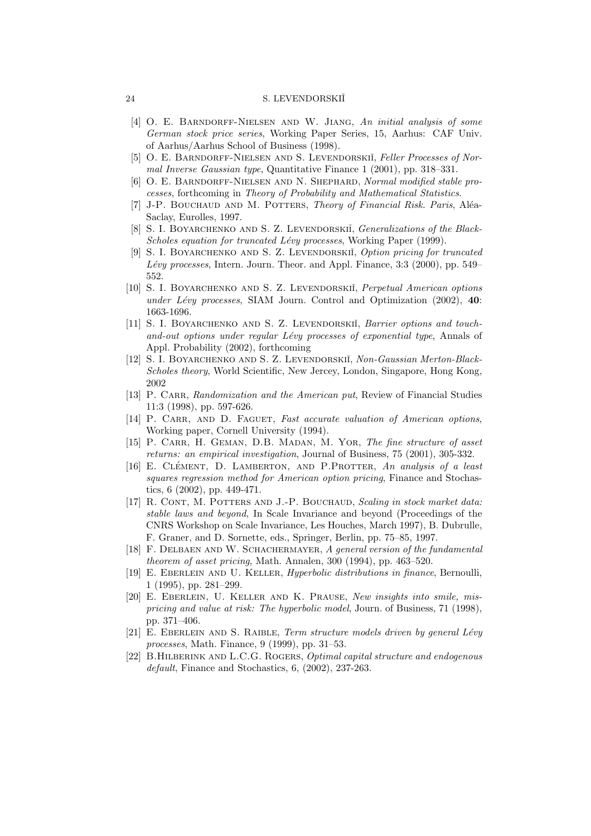- [4] O. E. Barndorff-Nielsen and W. Jiang, *An initial analysis of some German stock price series*, Working Paper Series, 15, Aarhus: CAF Univ. of Aarhus/Aarhus School of Business (1998).
- [5] O. E. BARNDORFF-NIELSEN AND S. LEVENDORSKIĬ, *Feller Processes of Normal Inverse Gaussian type*, Quantitative Finance 1 (2001), pp. 318–331.
- [6] O. E. Barndorff-Nielsen and N. Shephard, *Normal modified stable processes*, forthcoming in *Theory of Probability and Mathematical Statistics*.
- [7] J-P. BOUCHAUD AND M. POTTERS, *Theory of Financial Risk. Paris*, Aléa-Saclay, Eurolles, 1997.
- [8] S. I. BOYARCHENKO AND S. Z. LEVENDORSKII, *Generalizations of the Black-Scholes equation for truncated Lévy processes, Working Paper (1999).*
- [9] S. I. Boyarchenko and S. Z. Levendorskiˇi, *Option pricing for truncated L´evy processes*, Intern. Journ. Theor. and Appl. Finance, 3:3 (2000), pp. 549– 552.
- [10] S. I. Boyarchenko and S. Z. Levendorskiˇi, *Perpetual American options under L´evy processes*, SIAM Journ. Control and Optimization (2002), **40**: 1663-1696.
- [11] S. I. BOYARCHENKO AND S. Z. LEVENDORSKII<sup>I</sup>, *Barrier options and touchand-out options under regular L´evy processes of exponential type*, Annals of Appl. Probability (2002), forthcoming
- [12] S. I. Boyarchenko and S. Z. Levendorskiˇi, *Non-Gaussian Merton-Black-Scholes theory*, World Scientific, New Jercey, London, Singapore, Hong Kong, 2002
- [13] P. CARR, *Randomization and the American put*, Review of Financial Studies 11:3 (1998), pp. 597-626.
- [14] P. CARR, AND D. FAGUET, *Fast accurate valuation of American options*, Working paper, Cornell University (1994).
- [15] P. Carr, H. Geman, D.B. Madan, M. Yor, *The fine structure of asset returns: an empirical investigation*, Journal of Business, 75 (2001), 305-332.
- [16] E. Clement, D. Lamberton, and P.Protter ´ , *An analysis of a least squares regression method for American option pricing*, Finance and Stochastics, 6 (2002), pp. 449-471.
- [17] R. Cont, M. Potters and J.-P. Bouchaud, *Scaling in stock market data: stable laws and beyond*, In Scale Invariance and beyond (Proceedings of the CNRS Workshop on Scale Invariance, Les Houches, March 1997), B. Dubrulle, F. Graner, and D. Sornette, eds., Springer, Berlin, pp. 75–85, 1997.
- [18] F. Delbaen and W. Schachermayer, *A general version of the fundamental theorem of asset pricing*, Math. Annalen, 300 (1994), pp. 463–520.
- [19] E. Eberlein and U. Keller, *Hyperbolic distributions in finance*, Bernoulli, 1 (1995), pp. 281–299.
- [20] E. Eberlein, U. Keller and K. Prause, *New insights into smile, mispricing and value at risk: The hyperbolic model*, Journ. of Business, 71 (1998), pp. 371–406.
- [21] E. Eberlein and S. Raible, *Term structure models driven by general L´evy processes*, Math. Finance, 9 (1999), pp. 31–53.
- [22] B.Hilberink and L.C.G. Rogers, *Optimal capital structure and endogenous default*, Finance and Stochastics, 6, (2002), 237-263.